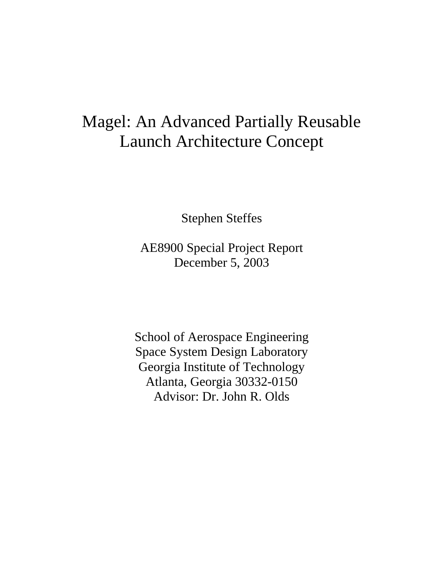# Magel: An Advanced Partially Reusable Launch Architecture Concept

Stephen Steffes

AE8900 Special Project Report December 5, 2003

School of Aerospace Engineering Space System Design Laboratory Georgia Institute of Technology Atlanta, Georgia 30332-0150 Advisor: Dr. John R. Olds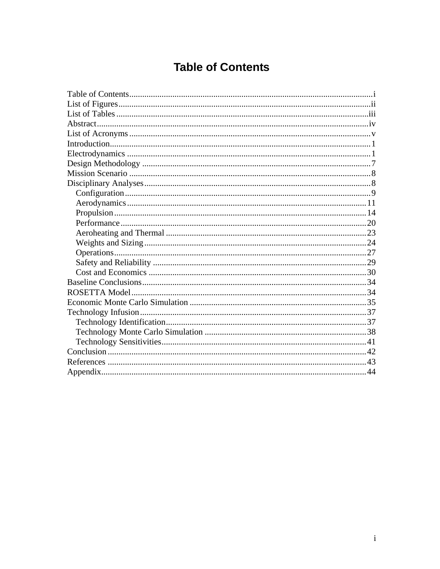## **Table of Contents**

<span id="page-1-0"></span>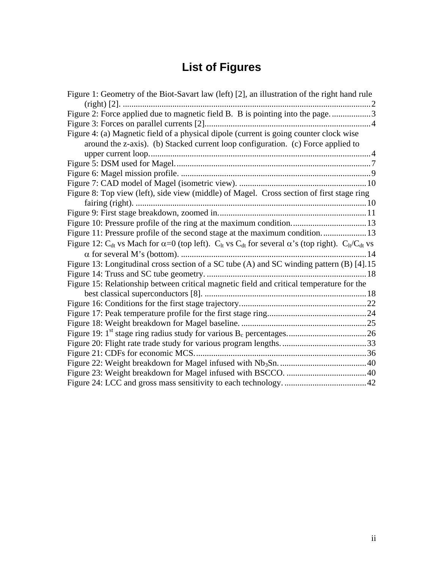# **List of Figures**

<span id="page-2-0"></span>

| Figure 1: Geometry of the Biot-Savart law (left) [2], an illustration of the right hand rule                                                                               |  |
|----------------------------------------------------------------------------------------------------------------------------------------------------------------------------|--|
| Figure 2: Force applied due to magnetic field B. B is pointing into the page3                                                                                              |  |
|                                                                                                                                                                            |  |
|                                                                                                                                                                            |  |
| Figure 4: (a) Magnetic field of a physical dipole (current is going counter clock wise                                                                                     |  |
| around the z-axis). (b) Stacked current loop configuration. (c) Force applied to                                                                                           |  |
|                                                                                                                                                                            |  |
|                                                                                                                                                                            |  |
|                                                                                                                                                                            |  |
|                                                                                                                                                                            |  |
| Figure 8: Top view (left), side view (middle) of Magel. Cross section of first stage ring                                                                                  |  |
|                                                                                                                                                                            |  |
|                                                                                                                                                                            |  |
|                                                                                                                                                                            |  |
| Figure 11: Pressure profile of the second stage at the maximum condition 13                                                                                                |  |
| Figure 12: C <sub>dt</sub> vs Mach for $\alpha$ =0 (top left). C <sub>lt</sub> vs C <sub>dt</sub> for several $\alpha$ 's (top right). C <sub>lt</sub> /C <sub>dt</sub> vs |  |
|                                                                                                                                                                            |  |
| Figure 13: Longitudinal cross section of a SC tube (A) and SC winding pattern (B) [4].15                                                                                   |  |
|                                                                                                                                                                            |  |
| Figure 15: Relationship between critical magnetic field and critical temperature for the                                                                                   |  |
|                                                                                                                                                                            |  |
|                                                                                                                                                                            |  |
|                                                                                                                                                                            |  |
|                                                                                                                                                                            |  |
|                                                                                                                                                                            |  |
|                                                                                                                                                                            |  |
|                                                                                                                                                                            |  |
|                                                                                                                                                                            |  |
|                                                                                                                                                                            |  |
|                                                                                                                                                                            |  |
|                                                                                                                                                                            |  |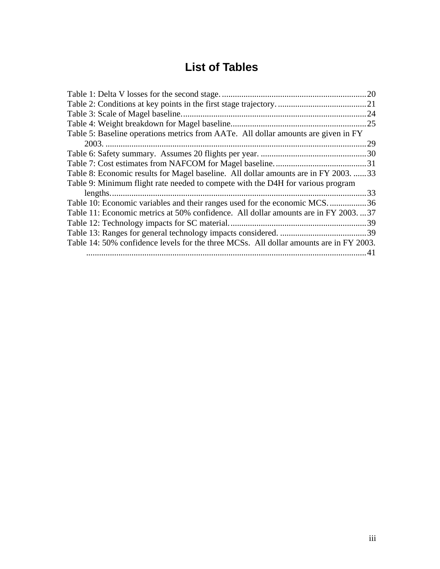## **List of Tables**

<span id="page-3-0"></span>

|                                                                                        | .24 |
|----------------------------------------------------------------------------------------|-----|
|                                                                                        |     |
| Table 5: Baseline operations metrics from AATe. All dollar amounts are given in FY     |     |
|                                                                                        | .29 |
|                                                                                        |     |
|                                                                                        |     |
| Table 8: Economic results for Magel baseline. All dollar amounts are in FY 2003.  33   |     |
| Table 9: Minimum flight rate needed to compete with the D4H for various program        |     |
|                                                                                        |     |
| Table 10: Economic variables and their ranges used for the economic MCS36              |     |
| Table 11: Economic metrics at 50% confidence. All dollar amounts are in FY 200337      |     |
|                                                                                        |     |
|                                                                                        |     |
| Table 14: 50% confidence levels for the three MCSs. All dollar amounts are in FY 2003. |     |
|                                                                                        | 41  |
|                                                                                        |     |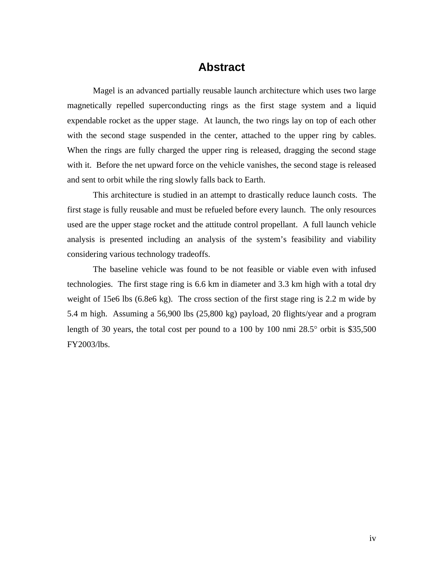## **Abstract**

<span id="page-4-0"></span>Magel is an advanced partially reusable launch architecture which uses two large magnetically repelled superconducting rings as the first stage system and a liquid expendable rocket as the upper stage. At launch, the two rings lay on top of each other with the second stage suspended in the center, attached to the upper ring by cables. When the rings are fully charged the upper ring is released, dragging the second stage with it. Before the net upward force on the vehicle vanishes, the second stage is released and sent to orbit while the ring slowly falls back to Earth.

This architecture is studied in an attempt to drastically reduce launch costs. The first stage is fully reusable and must be refueled before every launch. The only resources used are the upper stage rocket and the attitude control propellant. A full launch vehicle analysis is presented including an analysis of the system's feasibility and viability considering various technology tradeoffs.

The baseline vehicle was found to be not feasible or viable even with infused technologies. The first stage ring is 6.6 km in diameter and 3.3 km high with a total dry weight of 15e6 lbs (6.8e6 kg). The cross section of the first stage ring is 2.2 m wide by 5.4 m high. Assuming a 56,900 lbs (25,800 kg) payload, 20 flights/year and a program length of 30 years, the total cost per pound to a 100 by 100 nmi  $28.5^{\circ}$  orbit is \$35,500 FY2003/lbs.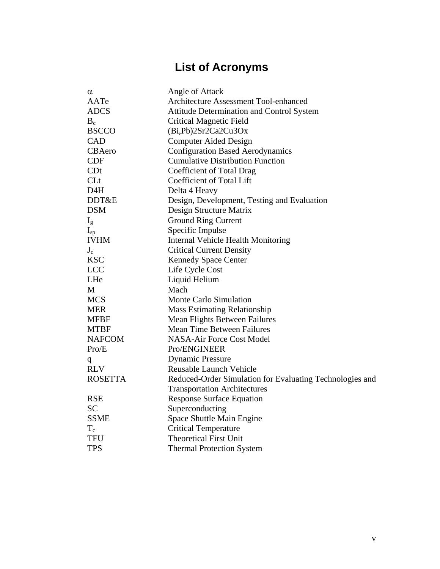# **List of Acronyms**

<span id="page-5-0"></span>

| $\alpha$         | Angle of Attack                                          |
|------------------|----------------------------------------------------------|
| AATe             | <b>Architecture Assessment Tool-enhanced</b>             |
| <b>ADCS</b>      | <b>Attitude Determination and Control System</b>         |
| $B_c$            | <b>Critical Magnetic Field</b>                           |
| <b>BSCCO</b>     | (Bi, Pb)2Sr2Ca2Cu3Ox                                     |
| <b>CAD</b>       | <b>Computer Aided Design</b>                             |
| CBAero           | <b>Configuration Based Aerodynamics</b>                  |
| <b>CDF</b>       | <b>Cumulative Distribution Function</b>                  |
| CDt              | Coefficient of Total Drag                                |
| CLt              | Coefficient of Total Lift                                |
| D <sub>4</sub> H | Delta 4 Heavy                                            |
| DDT&E            | Design, Development, Testing and Evaluation              |
| <b>DSM</b>       | Design Structure Matrix                                  |
| $I_{\rm g}$      | <b>Ground Ring Current</b>                               |
| $I_{sp}$         | Specific Impulse                                         |
| <b>IVHM</b>      | <b>Internal Vehicle Health Monitoring</b>                |
| $J_c$            | <b>Critical Current Density</b>                          |
| <b>KSC</b>       | Kennedy Space Center                                     |
| <b>LCC</b>       | Life Cycle Cost                                          |
| LHe              | Liquid Helium                                            |
| М                | Mach                                                     |
| <b>MCS</b>       | Monte Carlo Simulation                                   |
| <b>MER</b>       | <b>Mass Estimating Relationship</b>                      |
| <b>MFBF</b>      | Mean Flights Between Failures                            |
| <b>MTBF</b>      | <b>Mean Time Between Failures</b>                        |
| <b>NAFCOM</b>    | NASA-Air Force Cost Model                                |
| Pro/E            | Pro/ENGINEER                                             |
| q                | <b>Dynamic Pressure</b>                                  |
| <b>RLV</b>       | Reusable Launch Vehicle                                  |
| <b>ROSETTA</b>   | Reduced-Order Simulation for Evaluating Technologies and |
|                  | <b>Transportation Architectures</b>                      |
| <b>RSE</b>       | <b>Response Surface Equation</b>                         |
| <b>SC</b>        | Superconducting                                          |
| <b>SSME</b>      | Space Shuttle Main Engine                                |
| $T_c$            | <b>Critical Temperature</b>                              |
| <b>TFU</b>       | <b>Theoretical First Unit</b>                            |
| <b>TPS</b>       | <b>Thermal Protection System</b>                         |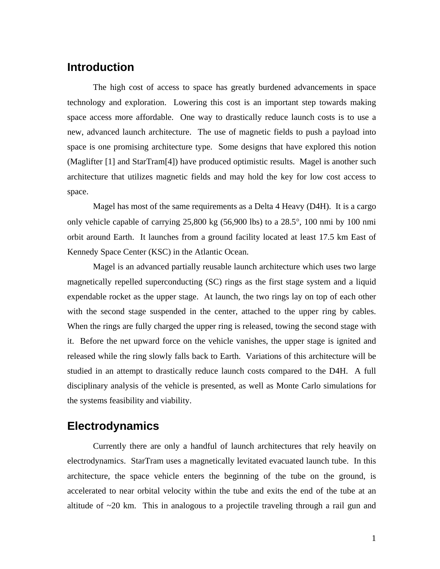## <span id="page-6-0"></span>**Introduction**

The high cost of access to space has greatly burdened advancements in space technology and exploration. Lowering this cost is an important step towards making space access more affordable. One way to drastically reduce launch costs is to use a new, advanced launch architecture. The use of magnetic fields to push a payload into space is one promising architecture type. Some designs that have explored this notion (Maglifter [\[1\]](#page-48-1) and StarTram[\[4\]](#page-48-2)) have produced optimistic results. Magel is another such architecture that utilizes magnetic fields and may hold the key for low cost access to space.

Magel has most of the same requirements as a Delta 4 Heavy (D4H). It is a cargo only vehicle capable of carrying 25,800 kg (56,900 lbs) to a 28.5°, 100 nmi by 100 nmi orbit around Earth. It launches from a ground facility located at least 17.5 km East of Kennedy Space Center (KSC) in the Atlantic Ocean.

Magel is an advanced partially reusable launch architecture which uses two large magnetically repelled superconducting (SC) rings as the first stage system and a liquid expendable rocket as the upper stage. At launch, the two rings lay on top of each other with the second stage suspended in the center, attached to the upper ring by cables. When the rings are fully charged the upper ring is released, towing the second stage with it. Before the net upward force on the vehicle vanishes, the upper stage is ignited and released while the ring slowly falls back to Earth. Variations of this architecture will be studied in an attempt to drastically reduce launch costs compared to the D4H. A full disciplinary analysis of the vehicle is presented, as well as Monte Carlo simulations for the systems feasibility and viability.

## **Electrodynamics**

Currently there are only a handful of launch architectures that rely heavily on electrodynamics. StarTram uses a magnetically levitated evacuated launch tube. In this architecture, the space vehicle enters the beginning of the tube on the ground, is accelerated to near orbital velocity within the tube and exits the end of the tube at an altitude of  $\sim$ 20 km. This in analogous to a projectile traveling through a rail gun and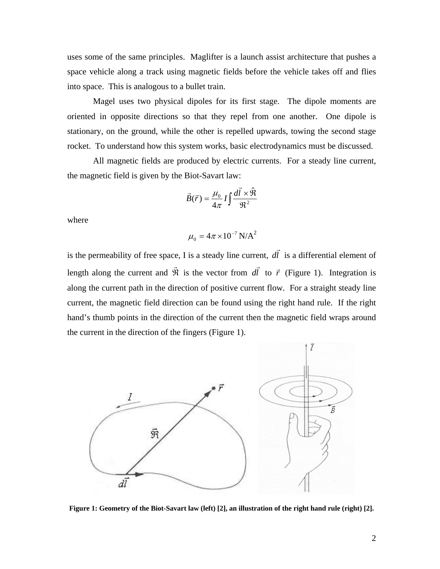<span id="page-7-0"></span>uses some of the same principles. Maglifter is a launch assist architecture that pushes a space vehicle along a track using magnetic fields before the vehicle takes off and flies into space. This is analogous to a bullet train.

Magel uses two physical dipoles for its first stage. The dipole moments are oriented in opposite directions so that they repel from one another. One dipole is stationary, on the ground, while the other is repelled upwards, towing the second stage rocket. To understand how this system works, basic electrodynamics must be discussed.

All magnetic fields are produced by electric currents. For a steady line current, the magnetic field is given by the Biot-Savart law:

$$
\vec{B}(\vec{r}) = \frac{\mu_0}{4\pi} I \int \frac{d\vec{l} \times \hat{\mathfrak{R}}}{\mathfrak{R}^2}
$$

where

$$
\mu_0 = 4\pi \times 10^{-7} \text{ N/A}^2
$$

is the permeability of free space, I is a steady line current, *dl* r is a differential element of length along the current and  $\vec{\Re}$  is the vector from *dl* r to  $\vec{r}$  ([Figure 1\)](#page-7-1). Integration is along the current path in the direction of positive current flow. For a straight steady line current, the magnetic field direction can be found using the right hand rule. If the right hand's thumb points in the direction of the current then the magnetic field wraps around the current in the direction of the fingers [\(Figure 1\)](#page-7-1).

<span id="page-7-1"></span>

**Figure 1: Geometry of the Biot-Savart law (left) [\[2\]](#page-48-3), an illustration of the right hand rule (right) [\[2\]](#page-48-3).**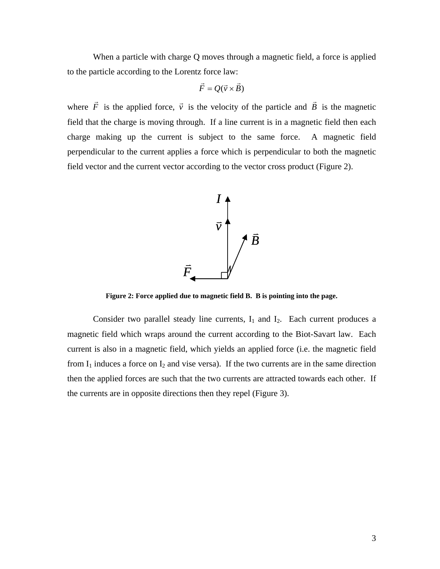<span id="page-8-0"></span>When a particle with charge Q moves through a magnetic field, a force is applied to the particle according to the Lorentz force law:

$$
\vec{F} = Q(\vec{v} \times \vec{B})
$$

where  $\vec{F}$  is the applied force,  $\vec{v}$  is the velocity of the particle and  $\vec{B}$  is the magnetic field that the charge is moving through. If a line current is in a magnetic field then each charge making up the current is subject to the same force. A magnetic field perpendicular to the current applies a force which is perpendicular to both the magnetic field vector and the current vector according to the vector cross product [\(Figure 2\)](#page-8-1).

<span id="page-8-1"></span>

**Figure 2: Force applied due to magnetic field B. B is pointing into the page.** 

Consider two parallel steady line currents,  $I_1$  and  $I_2$ . Each current produces a magnetic field which wraps around the current according to the Biot-Savart law. Each current is also in a magnetic field, which yields an applied force (i.e. the magnetic field from  $I_1$  induces a force on  $I_2$  and vise versa). If the two currents are in the same direction then the applied forces are such that the two currents are attracted towards each other. If the currents are in opposite directions then they repel [\(Figure 3\)](#page-9-1).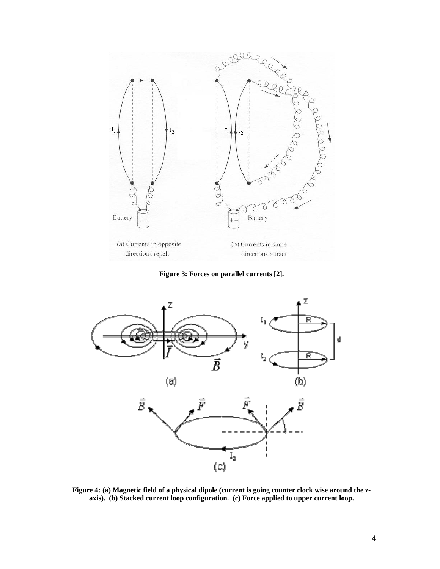<span id="page-9-1"></span><span id="page-9-0"></span>

**Figure 3: Forces on parallel currents [\[2\]](#page-48-3).** 



<span id="page-9-2"></span>**Figure 4: (a) Magnetic field of a physical dipole (current is going counter clock wise around the zaxis). (b) Stacked current loop configuration. (c) Force applied to upper current loop.**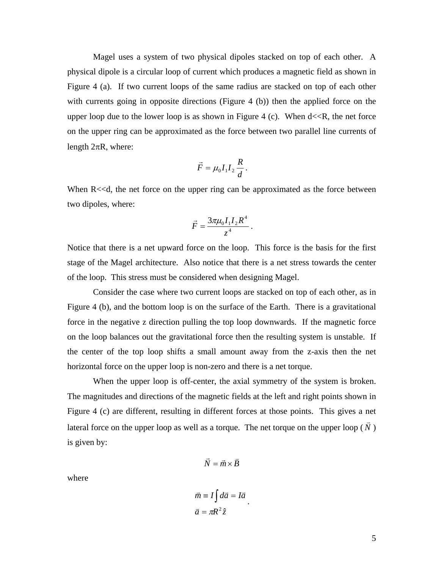Magel uses a system of two physical dipoles stacked on top of each other. A physical dipole is a circular loop of current which produces a magnetic field as shown in [Figure 4](#page-9-2) (a). If two current loops of the same radius are stacked on top of each other with currents going in opposite directions [\(Figure 4](#page-9-2) (b)) then the applied force on the upper loop due to the lower loop is as shown in [Figure 4](#page-9-2) (c). When  $d \ll R$ , the net force on the upper ring can be approximated as the force between two parallel line currents of length  $2\pi R$ , where:

$$
\vec{F} = \mu_0 I_1 I_2 \frac{R}{d}.
$$

When R<<d, the net force on the upper ring can be approximated as the force between two dipoles, where:

$$
\vec{F} = \frac{3\pi\mu_0 I_1 I_2 R^4}{z^4} \, .
$$

Notice that there is a net upward force on the loop. This force is the basis for the first stage of the Magel architecture. Also notice that there is a net stress towards the center of the loop. This stress must be considered when designing Magel.

Consider the case where two current loops are stacked on top of each other, as in [Figure 4](#page-9-2) (b), and the bottom loop is on the surface of the Earth. There is a gravitational force in the negative z direction pulling the top loop downwards. If the magnetic force on the loop balances out the gravitational force then the resulting system is unstable. If the center of the top loop shifts a small amount away from the z-axis then the net horizontal force on the upper loop is non-zero and there is a net torque.

When the upper loop is off-center, the axial symmetry of the system is broken. The magnitudes and directions of the magnetic fields at the left and right points shown in [Figure 4](#page-9-2) (c) are different, resulting in different forces at those points. This gives a net lateral force on the upper loop as well as a torque. The net torque on the upper loop  $(\overrightarrow{N})$ is given by:

$$
\vec{N} = \vec{m} \times \vec{B}
$$

where

$$
\vec{m} \equiv I \int d\vec{a} = I \vec{a}
$$

$$
\vec{a} = \pi R^2 \hat{z}
$$

.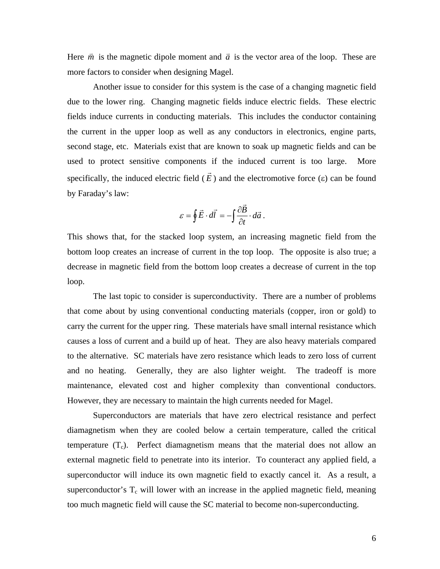Here  $\vec{m}$  is the magnetic dipole moment and  $\vec{a}$  is the vector area of the loop. These are more factors to consider when designing Magel.

Another issue to consider for this system is the case of a changing magnetic field due to the lower ring. Changing magnetic fields induce electric fields. These electric fields induce currents in conducting materials. This includes the conductor containing the current in the upper loop as well as any conductors in electronics, engine parts, second stage, etc. Materials exist that are known to soak up magnetic fields and can be used to protect sensitive components if the induced current is too large. More specifically, the induced electric field ( *E*  $\vec{E}$ ) and the electromotive force (ε) can be found by Faraday's law:

$$
\varepsilon = \oint \vec{E} \cdot d\vec{l} = -\int \frac{\partial \vec{B}}{\partial t} \cdot d\vec{a} .
$$

This shows that, for the stacked loop system, an increasing magnetic field from the bottom loop creates an increase of current in the top loop. The opposite is also true; a decrease in magnetic field from the bottom loop creates a decrease of current in the top loop.

that come about by using conventional conducting materials (copper, iron or gold) to The last topic to consider is superconductivity. There are a number of problems carry the current for the upper ring. These materials have small internal resistance which causes a loss of current and a build up of heat. They are also heavy materials compared to the alternative. SC materials have zero resistance which leads to zero loss of current and no heating. Generally, they are also lighter weight. The tradeoff is more maintenance, elevated cost and higher complexity than conventional conductors. However, they are necessary to maintain the high currents needed for Magel.

diamagnetism when they are cooled below a certain temperature, called the critical temperature  $(T_c)$ . Perfect diamagnetism means that the material does not allow an Superconductors are materials that have zero electrical resistance and perfect external magnetic field to penetrate into its interior. To counteract any applied field, a superconductor will induce its own magnetic field to exactly cancel it. As a result, a superconductor's  $T_c$  will lower with an increase in the applied magnetic field, meaning too much magnetic field will cause the SC material to become non-superconducting.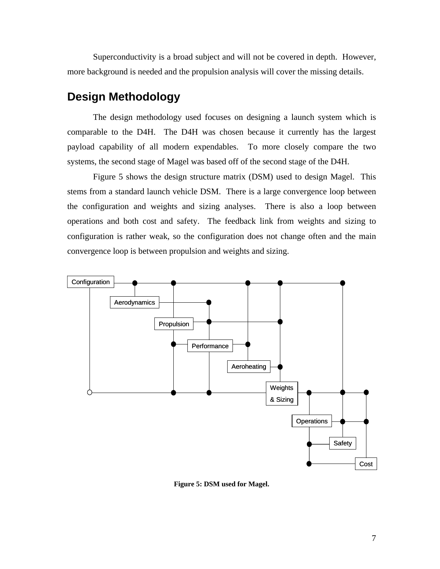<span id="page-12-0"></span>Superconductivity is a broad subject and will not be covered in depth. However, more background is needed and the propulsion analysis will cover the missing details.

## **Design Methodology**

The design methodology used focuses on designing a launch system which is comparable to the D4H. The D4H was chosen because it currently has the largest payload capability of all modern expendables. To more closely compare the two systems, the second stage of Magel was based off of the second stage of the D4H.

stems from a standard launch vehicle DSM. There is a large convergence loop between [Figure 5](#page-12-1) shows the design structure matrix (DSM) used to design Magel. This the configuration and weights and sizing analyses. There is also a loop between operations and both cost and safety. The feedback link from weights and sizing to configuration is rather weak, so the configuration does not change often and the main convergence loop is between propulsion and weights and sizing.

<span id="page-12-1"></span>

**Figure 5: DSM used for Magel.**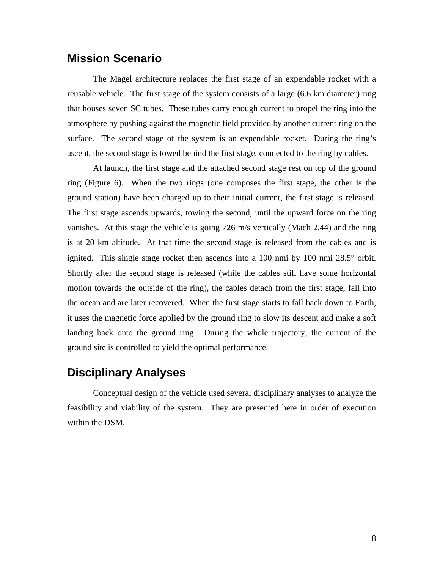## <span id="page-13-0"></span>**Mission Scenario**

The Magel architecture replaces the first stage of an expendable rocket with a reusable vehicle. The first stage of the system consists of a large (6.6 km diameter) ring that houses seven SC tubes. These tubes carry enough current to propel the ring into the atmosphere by pushing against the magnetic field provided by another current ring on the surface. The second stage of the system is an expendable rocket. During the ring's ascent, the second stage is towed behind the first stage, connected to the ring by cables.

At launch, the first stage and the attached second stage rest on top of the ground ring [\(Figure 6\)](#page-14-1). When the two rings (one composes the first stage, the other is the ground station) have been charged up to their initial current, the first stage is released. The first stage ascends upwards, towing the second, until the upward force on the ring vanishes. At this stage the vehicle is going 726 m/s vertically (Mach 2.44) and the ring is at 20 km altitude. At that time the second stage is released from the cables and is ignited. This single stage rocket then ascends into a 100 nmi by 100 nmi 28.5° orbit. Shortly after the second stage is released (while the cables still have some horizontal motion towards the outside of the ring), the cables detach from the first stage, fall into the ocean and are later recovered. When the first stage starts to fall back down to Earth, it uses the magnetic force applied by the ground ring to slow its descent and make a soft landing back onto the ground ring. During the whole trajectory, the current of the ground site is controlled to yield the optimal performance.

## **Disciplinary Analyses**

Conceptual design of the vehicle used several disciplinary analyses to analyze the feasibility and viability of the system. They are presented here in order of execution within the DSM.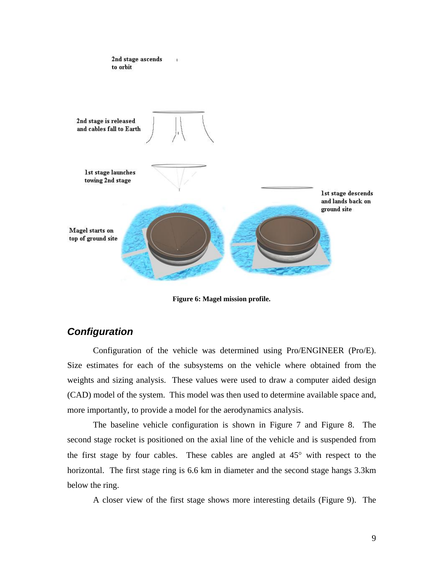<span id="page-14-1"></span><span id="page-14-0"></span>

**Figure 6: Magel mission profile.** 

#### *Configuration*

Configuration of the vehicle was determined using Pro/ENGINEER (Pro/E). Size estimates for each of the subsystems on the vehicle where obtained from the weights and sizing analysis. These values were used to draw a computer aided design (CAD) model of the system. This model was then used to determine available space and, more importantly, to provide a model for the aerodynamics analysis.

The baseline vehicle configuration is shown in [Figure 7](#page-15-1) and [Figure 8.](#page-15-2) The second stage rocket is positioned on the axial line of the vehicle and is suspended from the first stage by four cables. These cables are angled at 45° with respect to the horizontal. The first stage ring is 6.6 km in diameter and the second stage hangs 3.3km below the ring.

A closer view of the first stage shows more interesting details [\(Figure 9\)](#page-16-1). The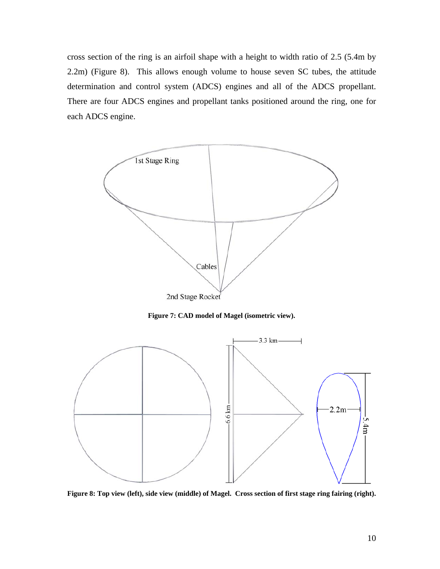<span id="page-15-0"></span>cross section of the ring is an airfoil shape with a height to width ratio of 2.5 (5.4m by 2.2m) ([Figure 8\)](#page-15-2). This allows enough volume to house seven SC tubes, the attitude determination and control system (ADCS) engines and all of the ADCS propellant. There are four ADCS engines and propellant tanks positioned around the ring, one for each ADCS engine.

<span id="page-15-1"></span>

**Figure 7: CAD model of Magel (isometric view).** 

<span id="page-15-2"></span>

**Figure 8: Top view (left), side view (middle) of Magel. Cross section of first stage ring fairing (right).**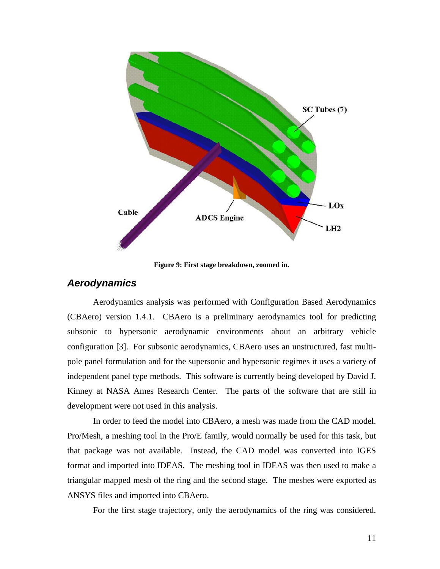<span id="page-16-1"></span><span id="page-16-0"></span>

**Figure 9: First stage breakdown, zoomed in.** 

#### *Aerodynamics*

Aerodynamics analysis was performed with Configuration Based Aerodynamics (CBAero) version 1.4.1. CBAero is a preliminary aerodynamics tool for predicting subsonic to hypersonic aerodynamic environments about an arbitrary vehicle configuration [\[3\]](#page-48-4). For subsonic aerodynamics, CBAero uses an unstructured, fast multipole panel formulation and for the supersonic and hypersonic regimes it uses a variety of independent panel type methods. This software is currently being developed by David J. Kinney at NASA Ames Research Center. The parts of the software that are still in development were not used in this analysis.

In order to feed the model into CBAero, a mesh was made from the CAD model. Pro/Mesh, a meshing tool in the Pro/E family, would normally be used for this task, but that package was not available. Instead, the CAD model was converted into IGES format and imported into IDEAS. The meshing tool in IDEAS was then used to make a triangular mapped mesh of the ring and the second stage. The meshes were exported as ANSYS files and imported into CBAero.

For the first stage trajectory, only the aerodynamics of the ring was considered.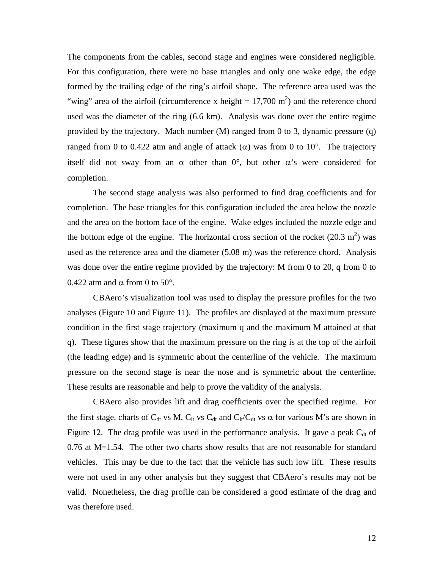The components from the cables, second stage and engines were considered negligible. For this configuration, there were no base triangles and only one wake edge, the edge formed by the trailing edge of the ring's airfoil shape. The reference area used was the "wing" area of the airfoil (circumference x height =  $17,700$  m<sup>2</sup>) and the reference chord used was the diameter of the ring (6.6 km). Analysis was done over the entire regime provided by the trajectory. Mach number (M) ranged from 0 to 3, dynamic pressure (q) ranged from 0 to 0.422 atm and angle of attack (α) was from 0 to 10°. The trajectory itself did not sway from an  $\alpha$  other than 0°, but other  $\alpha$ 's were considered for completion.

The second stage analysis was also performed to find drag coefficients and for completion. The base triangles for this configuration included the area below the nozzle and the area on the bottom face of the engine. Wake edges included the nozzle edge and the bottom edge of the engine. The horizontal cross section of the rocket  $(20.3 \text{ m}^2)$  was used as the reference area and the diameter (5.08 m) was the reference chord. Analysis was done over the entire regime provided by the trajectory: M from 0 to 20, q from 0 to 0.422 atm and  $\alpha$  from 0 to 50°.

CBAero's visualization tool was used to display the pressure profiles for the two analyses [\(Figure 10](#page-18-1) and [Figure 11\)](#page-18-2). The profiles are displayed at the maximum pressure condition in the first stage trajectory (maximum q and the maximum M attained at that q). These figures show that the maximum pressure on the ring is at the top of the airfoil (the leading edge) and is symmetric about the centerline of the vehicle. The maximum pressure on the second stage is near the nose and is symmetric about the centerline. These results are reasonable and help to prove the validity of the analysis.

CBAero also provides lift and drag coefficients over the specified regime. For the first stage, charts of  $C_{dt}$  vs M,  $C_{lt}$  vs  $C_{dt}$  and  $C_{lt}/C_{dt}$  vs  $\alpha$  for various M's are shown in [Figure 12.](#page-19-1) The drag profile was used in the performance analysis. It gave a peak  $C_{dt}$  of 0.76 at M=1.54. The other two charts show results that are not reasonable for standard vehicles. This may be due to the fact that the vehicle has such low lift. These results were not used in any other analysis but they suggest that CBAero's results may not be valid. Nonetheless, the drag profile can be considered a good estimate of the drag and was therefore used.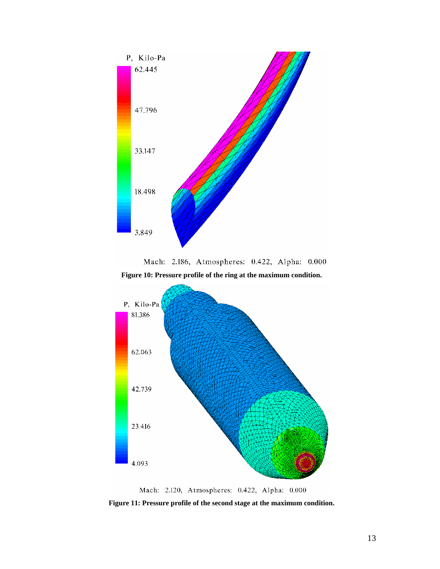<span id="page-18-1"></span><span id="page-18-0"></span>

Mach: 2.186, Atmospheres: 0.422, Alpha: 0.000

**Figure 10: Pressure profile of the ring at the maximum condition.** 

<span id="page-18-2"></span>

Mach: 2.120, Atmospheres: 0.422, Alpha: 0.000

**Figure 11: Pressure profile of the second stage at the maximum condition.**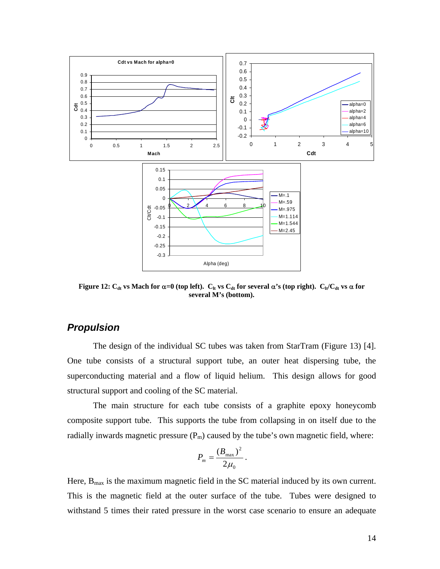<span id="page-19-0"></span>

<span id="page-19-1"></span>**Figure 12:**  $C_{dt}$  vs Mach for  $\alpha=0$  (top left).  $C_{lt}$  vs  $C_{dt}$  for several  $\alpha$ 's (top right).  $C_{lt}/C_{dt}$  vs  $\alpha$  for **several M's (bottom).** 

#### *Propulsion*

The design of the individual SC tubes was taken from StarTram ([Figure 13\)](#page-20-1) [\[4\]](#page-48-2). One tube consists of a structural support tube, an outer heat dispersing tube, the superconducting material and a flow of liquid helium. This design allows for good structural support and cooling of the SC material.

The main structure for each tube consists of a graphite epoxy honeycomb composite support tube. This supports the tube from collapsing in on itself due to the radially inwards magnetic pressure  $(P_m)$  caused by the tube's own magnetic field, where:

$$
P_m=\frac{\left(B_{\text{max}}\right)^2}{2\mu_0}.
$$

Here,  $B_{\text{max}}$  is the maximum magnetic field in the SC material induced by its own current. This is the magnetic field at the outer surface of the tube. Tubes were designed to withstand 5 times their rated pressure in the worst case scenario to ensure an adequate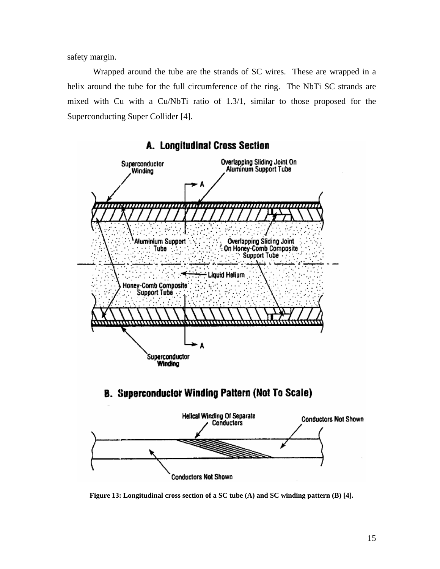<span id="page-20-0"></span>safety margin.

Wrapped around the tube are the strands of SC wires. These are wrapped in a helix around the tube for the full circumference of the ring. The NbTi SC strands are mixed with Cu with a Cu/NbTi ratio of 1.3/1, similar to those proposed for the Superconducting Super Collider [\[4\]](#page-48-2).

<span id="page-20-1"></span>

A. Longitudinal Cross Section

**Figure 13: Longitudinal cross section of a SC tube (A) and SC winding pattern (B) [\[4\]](#page-48-2).**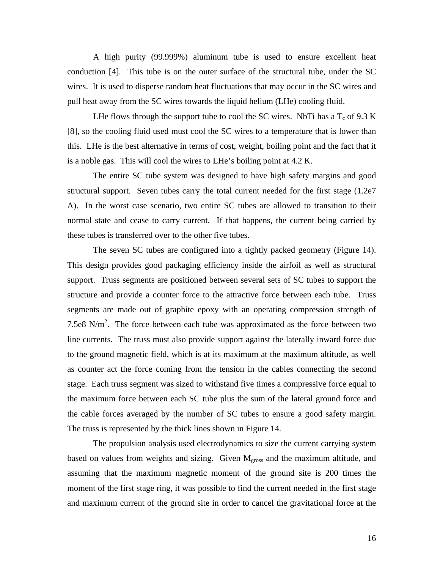A high purity (99.999%) aluminum tube is used to ensure excellent heat conduction [\[4\]](#page-48-2). This tube is on the outer surface of the structural tube, under the SC wires. It is used to disperse random heat fluctuations that may occur in the SC wires and pull heat away from the SC wires towards the liquid helium (LHe) cooling fluid.

LHe flows through the support tube to cool the SC wires. NbTi has a  $T_c$  of 9.3 K [[8\]](#page-48-5), so the cooling fluid used must cool the SC wires to a temperature that is lower than this. LHe is the best alternative in terms of cost, weight, boiling point and the fact that it is a noble gas. This will cool the wires to LHe's boiling point at 4.2 K.

The entire SC tube system was designed to have high safety margins and good structural support. Seven tubes carry the total current needed for the first stage (1.2e7 A). In the worst case scenario, two entire SC tubes are allowed to transition to their normal state and cease to carry current. If that happens, the current being carried by these tubes is transferred over to the other five tubes.

The seven SC tubes are configured into a tightly packed geometry [\(Figure 14\)](#page-23-1). This design provides good packaging efficiency inside the airfoil as well as structural support. Truss segments are positioned between several sets of SC tubes to support the structure and provide a counter force to the attractive force between each tube. Truss segments are made out of graphite epoxy with an operating compression strength of 7.5e8 N/m<sup>2</sup>. The force between each tube was approximated as the force between two line currents. The truss must also provide support against the laterally inward force due to the ground magnetic field, which is at its maximum at the maximum altitude, as well as counter act the force coming from the tension in the cables connecting the second stage. Each truss segment was sized to withstand five times a compressive force equal to the maximum force between each SC tube plus the sum of the lateral ground force and the cable forces averaged by the number of SC tubes to ensure a good safety margin. The truss is represented by the thick lines shown in [Figure 14.](#page-23-1)

The propulsion analysis used electrodynamics to size the current carrying system based on values from weights and sizing. Given  $M<sub>cross</sub>$  and the maximum altitude, and assuming that the maximum magnetic moment of the ground site is 200 times the moment of the first stage ring, it was possible to find the current needed in the first stage and maximum current of the ground site in order to cancel the gravitational force at the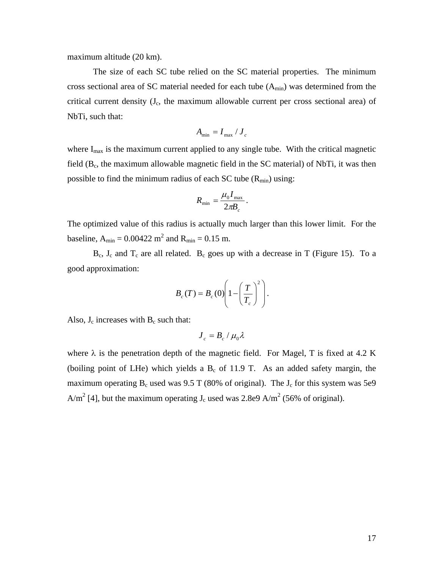maximum altitude (20 km).

The size of each SC tube relied on the SC material properties. The minimum cross sectional area of SC material needed for each tube  $(A_{min})$  was determined from the critical current density  $(J_c)$ , the maximum allowable current per cross sectional area) of NbTi, such that:

$$
A_{\rm min}=I_{\rm max}\,/\,J_{\rm c}
$$

where  $I_{\text{max}}$  is the maximum current applied to any single tube. With the critical magnetic field  $(B<sub>c</sub>$ , the maximum allowable magnetic field in the SC material) of NbTi, it was then possible to find the minimum radius of each SC tube  $(R_{min})$  using:

$$
R_{\min} = \frac{\mu_0 I_{\max}}{2\pi B_c}.
$$

The optimized value of this radius is actually much larger than this lower limit. For the baseline,  $A_{\text{min}} = 0.00422 \text{ m}^2$  and  $R_{\text{min}} = 0.15 \text{ m}$ .

 $B_c$ ,  $J_c$  and  $T_c$  are all related.  $B_c$  goes up with a decrease in T ([Figure 15\)](#page-23-2). To a good approximation:

$$
B_c(T) = B_c(0) \left( 1 - \left(\frac{T}{T_c}\right)^2 \right).
$$

Also,  $J_c$  increases with  $B_c$  such that:

$$
\boldsymbol{J}_{c}=\boldsymbol{B}_{c}\,/\,\mu_{0}\lambda
$$

where  $\lambda$  is the penetration depth of the magnetic field. For Magel, T is fixed at 4.2 K (boiling point of LHe) which yields a  $B_c$  of 11.9 T. As an added safety margin, the maximum operating  $B_c$  used was 9.5 T (80% of original). The  $J_c$  for this system was 5e9 A/m<sup>2</sup> [\[4\]](#page-48-2), but the maximum operating  $J_c$  used was 2.8e9 A/m<sup>2</sup> (56% of original).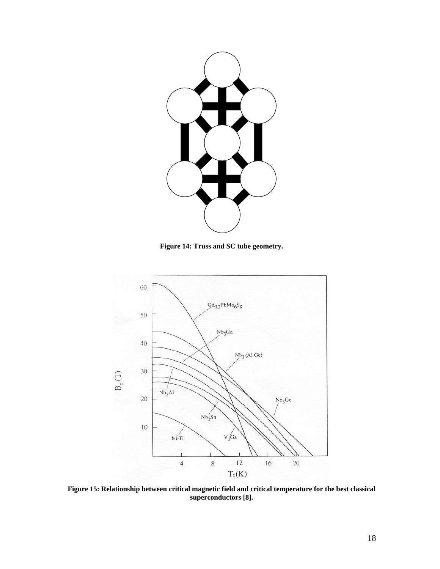<span id="page-23-1"></span><span id="page-23-0"></span>

**Figure 14: Truss and SC tube geometry.** 

<span id="page-23-2"></span>

**Figure 15: Relationship between critical magnetic field and critical temperature for the best classical superconductors [\[8\]](#page-48-5).**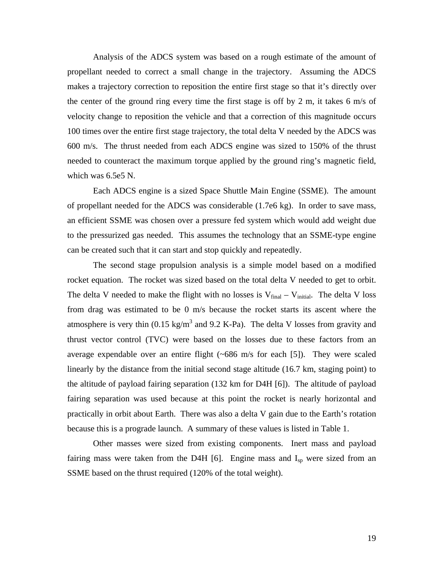Analysis of the ADCS system was based on a rough estimate of the amount of propellant needed to correct a small change in the trajectory. Assuming the ADCS makes a trajectory correction to reposition the entire first stage so that it's directly over the center of the ground ring every time the first stage is off by 2 m, it takes 6 m/s of velocity change to reposition the vehicle and that a correction of this magnitude occurs 100 times over the entire first stage trajectory, the total delta V needed by the ADCS was 600 m/s. The thrust needed from each ADCS engine was sized to 150% of the thrust needed to counteract the maximum torque applied by the ground ring's magnetic field, which was 6.5e5 N.

Each ADCS engine is a sized Space Shuttle Main Engine (SSME). The amount of propellant needed for the ADCS was considerable (1.7e6 kg). In order to save mass, an efficient SSME was chosen over a pressure fed system which would add weight due to the pressurized gas needed. This assumes the technology that an SSME-type engine can be created such that it can start and stop quickly and repeatedly.

The second stage propulsion analysis is a simple model based on a modified rocket equation. The rocket was sized based on the total delta V needed to get to orbit. The delta V needed to make the flight with no losses is  $V_{final} - V_{initial}$ . The delta V loss from drag was estimated to be 0 m/s because the rocket starts its ascent where the atmosphere is very thin  $(0.15 \text{ kg/m}^3 \text{ and } 9.2 \text{ K-Pa})$ . The delta V losses from gravity and thrust vector control (TVC) were based on the losses due to these factors from an average expendable over an entire flight  $(-686 \text{ m/s}$  for each [\[5\]](#page-48-6)). They were scaled linearly by the distance from the initial second stage altitude (16.7 km, staging point) to the altitude of payload fairing separation (132 km for D4H [\[6\]](#page-48-7)). The altitude of payload fairing separation was used because at this point the rocket is nearly horizontal and practically in orbit about Earth. There was also a delta V gain due to the Earth's rotation because this is a prograde launch. A summary of these values is listed in [Table 1.](#page-25-1)

Other masses were sized from existing components. Inert mass and payload fairing mass were taken from the D4H  $[6]$  $[6]$ . Engine mass and  $I_{\rm SD}$  were sized from an SSME based on the thrust required (120% of the total weight).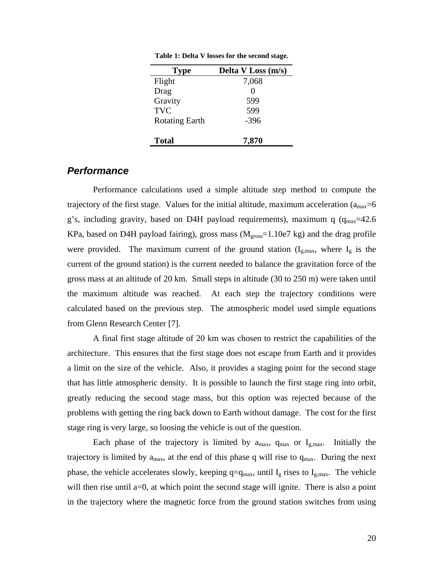| <b>Type</b>           | Delta V Loss (m/s) |
|-----------------------|--------------------|
| Flight                | 7,068              |
| Drag                  | $\Omega$           |
| Gravity               | 599                |
| <b>TVC</b>            | 599                |
| <b>Rotating Earth</b> | $-396$             |
| <b>Total</b>          | 7,870              |

<span id="page-25-1"></span><span id="page-25-0"></span>**Table 1: Delta V losses for the second stage.** 

#### *Performance*

Performance calculations used a simple altitude step method to compute the trajectory of the first stage. Values for the initial altitude, maximum acceleration ( $a_{\text{max}}=6$ ) g's, including gravity, based on D4H payload requirements), maximum q  $(q_{max}=42.6$ KPa, based on D4H payload fairing), gross mass  $(M<sub>gross</sub>=1.10e7 kg)$  and the drag profile were provided. The maximum current of the ground station  $(I_{g,\text{max}})$ , where  $I_g$  is the current of the ground station) is the current needed to balance the gravitation force of the gross mass at an altitude of 20 km. Small steps in altitude (30 to 250 m) were taken until the maximum altitude was reached. At each step the trajectory conditions were calculated based on the previous step. The atmospheric model used simple equations from Glenn Research Center [\[7\]](#page-48-8).

A final first stage altitude of 20 km was chosen to restrict the capabilities of the architecture. This ensures that the first stage does not escape from Earth and it provides a limit on the size of the vehicle. Also, it provides a staging point for the second stage that has little atmospheric density. It is possible to launch the first stage ring into orbit, greatly reducing the second stage mass, but this option was rejected because of the problems with getting the ring back down to Earth without damage. The cost for the first stage ring is very large, so loosing the vehicle is out of the question.

Each phase of the trajectory is limited by  $a_{max}$ ,  $q_{max}$  or  $I_{g,max}$ . Initially the trajectory is limited by  $a_{\text{max}}$ , at the end of this phase q will rise to  $q_{\text{max}}$ . During the next phase, the vehicle accelerates slowly, keeping  $q=q_{max}$ , until  $I_g$  rises to  $I_{g,max}$ . The vehicle will then rise until a=0, at which point the second stage will ignite. There is also a point in the trajectory where the magnetic force from the ground station switches from using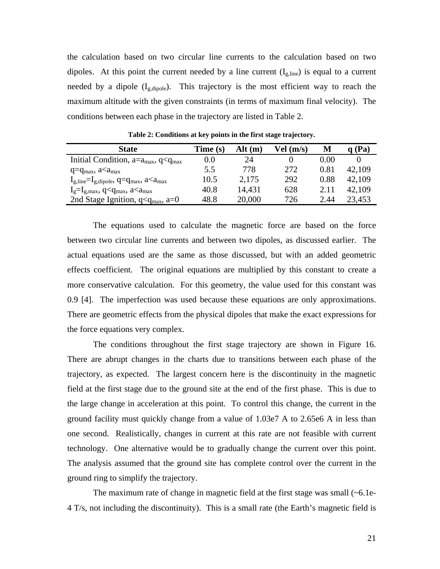<span id="page-26-0"></span>the calculation based on two circular line currents to the calculation based on two dipoles. At this point the current needed by a line current  $(I_{g, line})$  is equal to a current needed by a dipole (I<sub>g,dipole</sub>). This trajectory is the most efficient way to reach the maximum altitude with the given constraints (in terms of maximum final velocity). The conditions between each phase in the trajectory are listed in [Table 2.](#page-26-1)

| <b>State</b>                                                                        | Time (s) | Alt (m) | Vel (m/s) | М    | (Pa)   |
|-------------------------------------------------------------------------------------|----------|---------|-----------|------|--------|
| Initial Condition, $a=a_{max}$ , $q < q_{max}$                                      | 0.0      | 24      |           | 0.00 |        |
| $q = q_{max}$ , $a < a_{max}$                                                       | 5.5      | 778     | 272       | 0.81 | 42,109 |
| $I_{g,\text{line}}=I_{g,\text{dipole}}$ , q=q <sub>max</sub> , a <a<sub>max</a<sub> | 10.5     | 2,175   | 292       | 0.88 | 42,109 |
| $I_g = I_{g,max}$ , q <q<sub>max, a<a<sub>max</a<sub></q<sub>                       | 40.8     | 14,431  | 628       | 2.11 | 42,109 |
| 2nd Stage Ignition, $q < q_{max}$ , a=0                                             | 48.8     | 20,000  | 726       | 2.44 | 23,453 |

<span id="page-26-1"></span>**Table 2: Conditions at key points in the first stage trajectory.** 

The equations used to calculate the magnetic force are based on the force between two circular line currents and between two dipoles, as discussed earlier. The actual equations used are the same as those discussed, but with an added geometric effects coefficient. The original equations are multiplied by this constant to create a more conservative calculation. For this geometry, the value used for this constant was 0.9 [\[4\]](#page-48-2). The imperfection was used because these equations are only approximations. There are geometric effects from the physical dipoles that make the exact expressions for the force equations very complex.

The conditions throughout the first stage trajectory are shown in [Figure 16.](#page-27-1) There are abrupt changes in the charts due to transitions between each phase of the trajectory, as expected. The largest concern here is the discontinuity in the magnetic field at the first stage due to the ground site at the end of the first phase. This is due to the large change in acceleration at this point. To control this change, the current in the ground facility must quickly change from a value of 1.03e7 A to 2.65e6 A in less than one second. Realistically, changes in current at this rate are not feasible with current technology. One alternative would be to gradually change the current over this point. The analysis assumed that the ground site has complete control over the current in the ground ring to simplify the trajectory.

The maximum rate of change in magnetic field at the first stage was small  $(-6.1e$ -4 T/s, not including the discontinuity). This is a small rate (the Earth's magnetic field is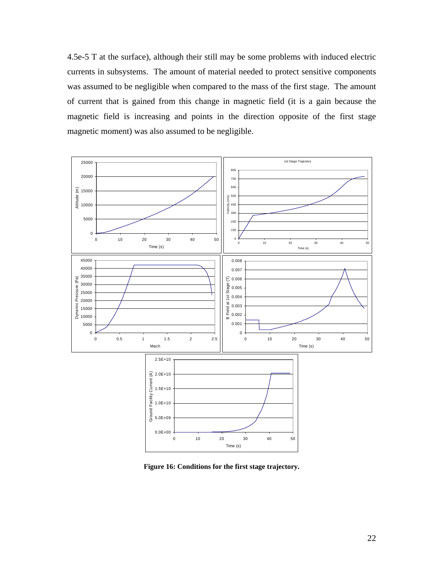<span id="page-27-0"></span>4.5e-5 T at the surface), although their still may be some problems with induced electric currents in subsystems. The amount of material needed to protect sensitive components was assumed to be negligible when compared to the mass of the first stage. The amount of current that is gained from this change in magnetic field (it is a gain because the magnetic field is increasing and points in the direction opposite of the first stage magnetic moment) was also assumed to be negligible.



<span id="page-27-1"></span>**Figure 16: Conditions for the first stage trajectory.**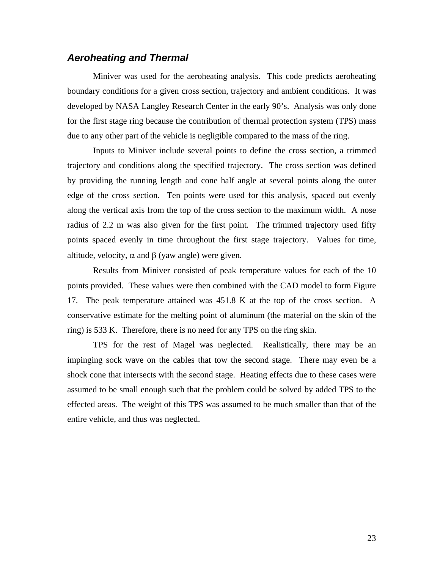#### <span id="page-28-0"></span>*Aeroheating and Thermal*

Miniver was used for the aeroheating analysis. This code predicts aeroheating boundary conditions for a given cross section, trajectory and ambient conditions. It was developed by NASA Langley Research Center in the early 90's. Analysis was only done for the first stage ring because the contribution of thermal protection system (TPS) mass due to any other part of the vehicle is negligible compared to the mass of the ring.

Inputs to Miniver include several points to define the cross section, a trimmed trajectory and conditions along the specified trajectory. The cross section was defined by providing the running length and cone half angle at several points along the outer edge of the cross section. Ten points were used for this analysis, spaced out evenly along the vertical axis from the top of the cross section to the maximum width. A nose radius of 2.2 m was also given for the first point. The trimmed trajectory used fifty points spaced evenly in time throughout the first stage trajectory. Values for time, altitude, velocity,  $\alpha$  and  $\beta$  (yaw angle) were given.

Results from Miniver consisted of peak temperature values for each of the 10 points provided. These values were then combined with the CAD model to form [Figure](#page-29-1)  [17.](#page-29-1) The peak temperature attained was 451.8 K at the top of the cross section. A conservative estimate for the melting point of aluminum (the material on the skin of the ring) is 533 K. Therefore, there is no need for any TPS on the ring skin.

TPS for the rest of Magel was neglected. Realistically, there may be an impinging sock wave on the cables that tow the second stage. There may even be a shock cone that intersects with the second stage. Heating effects due to these cases were assumed to be small enough such that the problem could be solved by added TPS to the effected areas. The weight of this TPS was assumed to be much smaller than that of the entire vehicle, and thus was neglected.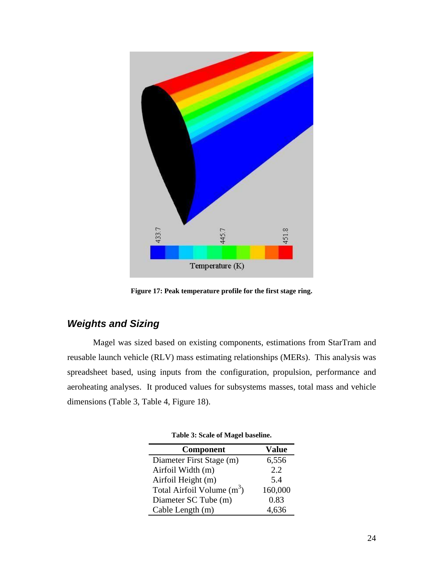<span id="page-29-1"></span><span id="page-29-0"></span>

**Figure 17: Peak temperature profile for the first stage ring.** 

## *Weights and Sizing*

Magel was sized based on existing components, estimations from StarTram and reusable launch vehicle (RLV) mass estimating relationships (MERs). This analysis was spreadsheet based, using inputs from the configuration, propulsion, performance and aeroheating analyses. It produced values for subsystems masses, total mass and vehicle dimensions [\(Table 3,](#page-29-2) [Table 4,](#page-30-1) [Figure 18\)](#page-30-2).

<span id="page-29-2"></span>

| Component                    | Value   |
|------------------------------|---------|
| Diameter First Stage (m)     | 6,556   |
| Airfoil Width (m)            | 2.2     |
| Airfoil Height (m)           | 5.4     |
| Total Airfoil Volume $(m^3)$ | 160,000 |
| Diameter SC Tube (m)         | 0.83    |
| Cable Length (m)             | 4,636   |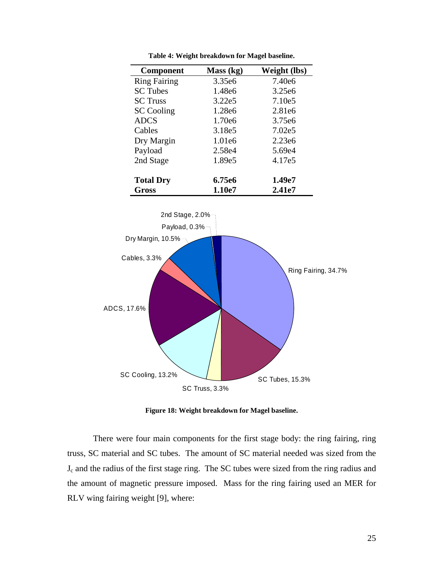<span id="page-30-0"></span>

| Component           | Mass (kg)          | Weight (lbs)       |
|---------------------|--------------------|--------------------|
|                     |                    |                    |
| <b>Ring Fairing</b> | 3.35e <sub>6</sub> | 7.40e6             |
| <b>SC</b> Tubes     | 1.48e6             | 3.25e <sub>6</sub> |
| <b>SC</b> Truss     | 3.22e5             | 7.10e5             |
| <b>SC</b> Cooling   | 1.28e6             | 2.81e6             |
| <b>ADCS</b>         | 1.70e6             | 3.75e <sub>6</sub> |
| Cables              | 3.18e5             | 7.02e5             |
| Dry Margin          | 1.01e6             | 2.23e6             |
| Payload             | 2.58e4             | 5.69e4             |
| 2nd Stage           | 1.89e5             | 4.17e5             |
| <b>Total Dry</b>    | 6.75e6             | 1.49e7             |
| Gross               | 1.10e7             | 2.41e7             |

<span id="page-30-1"></span>**Table 4: Weight breakdown for Magel baseline.** 

<span id="page-30-2"></span>

**Figure 18: Weight breakdown for Magel baseline.** 

There were four main components for the first stage body: the ring fairing, ring truss, SC material and SC tubes. The amount of SC material needed was sized from the Jc and the radius of the first stage ring. The SC tubes were sized from the ring radius and the amount of magnetic pressure imposed. Mass for the ring fairing used an MER for RLV wing fairing weight [\[9\]](#page-48-9), where: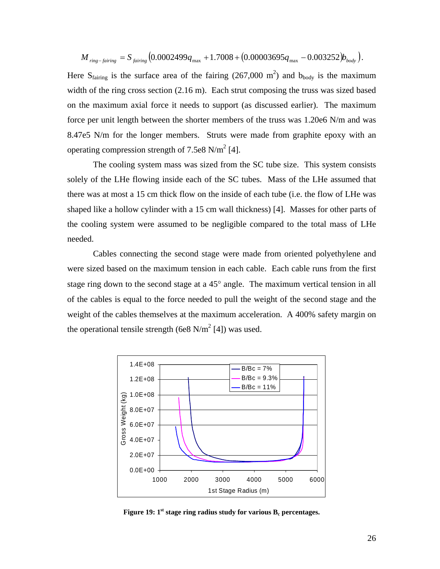<span id="page-31-0"></span>
$$
M_{ring-fairing} = S_{fairing} (0.0002499q_{max} + 1.7008 + (0.00003695q_{max} - 0.003252)b_{body}).
$$

Here S<sub>fairing</sub> is the surface area of the fairing (267,000 m<sup>2</sup>) and b<sub>body</sub> is the maximum width of the ring cross section (2.16 m). Each strut composing the truss was sized based on the maximum axial force it needs to support (as discussed earlier). The maximum force per unit length between the shorter members of the truss was 1.20e6 N/m and was 8.47e5 N/m for the longer members. Struts were made from graphite epoxy with an operating compression strength of 7.5e8 N/m<sup>2</sup> [[4\]](#page-48-2).

The cooling system mass was sized from the SC tube size. This system consists solely of the LHe flowing inside each of the SC tubes. Mass of the LHe assumed that there was at most a 15 cm thick flow on the inside of each tube (i.e. the flow of LHe was shaped like a hollow cylinder with a 15 cm wall thickness) [\[4\]](#page-48-2). Masses for other parts of the cooling system were assumed to be negligible compared to the total mass of LHe needed.

Cables connecting the second stage were made from oriented polyethylene and were sized based on the maximum tension in each cable. Each cable runs from the first stage ring down to the second stage at a 45° angle. The maximum vertical tension in all of the cables is equal to the force needed to pull the weight of the second stage and the weight of the cables themselves at the maximum acceleration. A 400% safety margin on the operational tensile strength (6e8 N/m<sup>2</sup> [[4\]](#page-48-2)) was used.

<span id="page-31-1"></span>

**Figure 19:**  $1^{st}$  stage ring radius study for various  $B_c$  percentages.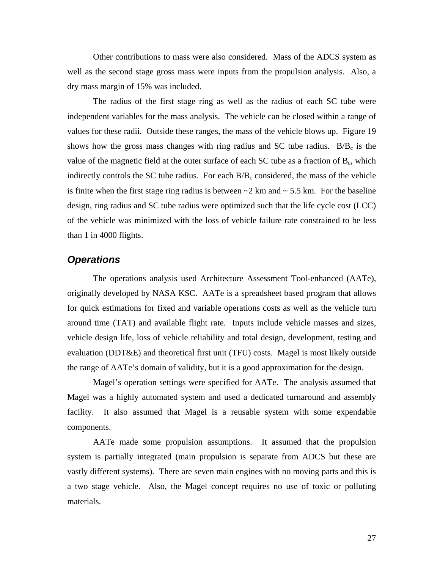<span id="page-32-0"></span>Other contributions to mass were also considered. Mass of the ADCS system as well as the second stage gross mass were inputs from the propulsion analysis. Also, a dry mass margin of 15% was included.

The radius of the first stage ring as well as the radius of each SC tube were independent variables for the mass analysis. The vehicle can be closed within a range of values for these radii. Outside these ranges, the mass of the vehicle blows up. [Figure 19](#page-31-1)  shows how the gross mass changes with ring radius and SC tube radius.  $B/B_c$  is the value of the magnetic field at the outer surface of each SC tube as a fraction of  $B<sub>c</sub>$ , which indirectly controls the SC tube radius. For each  $B/B<sub>c</sub>$  considered, the mass of the vehicle is finite when the first stage ring radius is between  $\sim$  2 km and  $\sim$  5.5 km. For the baseline design, ring radius and SC tube radius were optimized such that the life cycle cost (LCC) of the vehicle was minimized with the loss of vehicle failure rate constrained to be less than 1 in 4000 flights.

### *Operations*

The operations analysis used Architecture Assessment Tool-enhanced (AATe), originally developed by NASA KSC. AATe is a spreadsheet based program that allows for quick estimations for fixed and variable operations costs as well as the vehicle turn around time (TAT) and available flight rate. Inputs include vehicle masses and sizes, vehicle design life, loss of vehicle reliability and total design, development, testing and evaluation (DDT&E) and theoretical first unit (TFU) costs. Magel is most likely outside the range of AATe's domain of validity, but it is a good approximation for the design.

Magel's operation settings were specified for AATe. The analysis assumed that Magel was a highly automated system and used a dedicated turnaround and assembly facility. It also assumed that Magel is a reusable system with some expendable components.

AATe made some propulsion assumptions. It assumed that the propulsion system is partially integrated (main propulsion is separate from ADCS but these are vastly different systems). There are seven main engines with no moving parts and this is a two stage vehicle. Also, the Magel concept requires no use of toxic or polluting materials.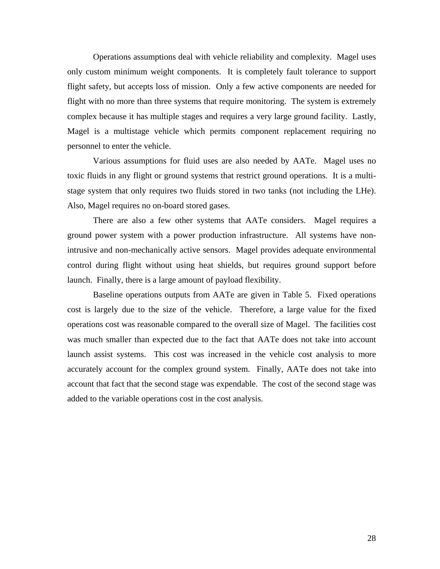Operations assumptions deal with vehicle reliability and complexity. Magel uses only custom minimum weight components. It is completely fault tolerance to support flight safety, but accepts loss of mission. Only a few active components are needed for flight with no more than three systems that require monitoring. The system is extremely complex because it has multiple stages and requires a very large ground facility. Lastly, Magel is a multistage vehicle which permits component replacement requiring no personnel to enter the vehicle.

Various assumptions for fluid uses are also needed by AATe. Magel uses no toxic fluids in any flight or ground systems that restrict ground operations. It is a multistage system that only requires two fluids stored in two tanks (not including the LHe). Also, Magel requires no on-board stored gases.

There are also a few other systems that AATe considers. Magel requires a ground power system with a power production infrastructure. All systems have nonintrusive and non-mechanically active sensors. Magel provides adequate environmental control during flight without using heat shields, but requires ground support before launch. Finally, there is a large amount of payload flexibility.

Baseline operations outputs from AATe are given in [Table 5.](#page-34-1) Fixed operations cost is largely due to the size of the vehicle. Therefore, a large value for the fixed operations cost was reasonable compared to the overall size of Magel. The facilities cost was much smaller than expected due to the fact that AATe does not take into account launch assist systems. This cost was increased in the vehicle cost analysis to more accurately account for the complex ground system. Finally, AATe does not take into account that fact that the second stage was expendable. The cost of the second stage was added to the variable operations cost in the cost analysis.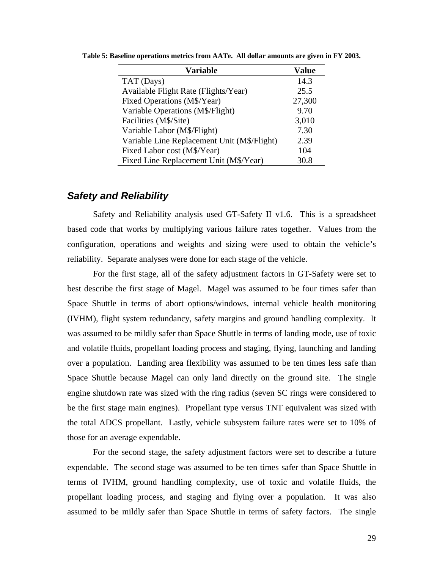| <b>Variable</b>                             | <b>Value</b> |
|---------------------------------------------|--------------|
| TAT (Days)                                  | 14.3         |
| Available Flight Rate (Flights/Year)        | 25.5         |
| Fixed Operations (M\$/Year)                 | 27,300       |
| Variable Operations (M\$/Flight)            | 9.70         |
| Facilities (M\$/Site)                       | 3,010        |
| Variable Labor (M\$/Flight)                 | 7.30         |
| Variable Line Replacement Unit (M\$/Flight) | 2.39         |
| Fixed Labor cost (M\$/Year)                 | 104          |
| Fixed Line Replacement Unit (M\$/Year)      | 30.8         |

<span id="page-34-1"></span><span id="page-34-0"></span>**Table 5: Baseline operations metrics from AATe. All dollar amounts are given in FY 2003.** 

#### *Safety and Reliability*

Safety and Reliability analysis used GT-Safety II v1.6. This is a spreadsheet based code that works by multiplying various failure rates together. Values from the configuration, operations and weights and sizing were used to obtain the vehicle's reliability. Separate analyses were done for each stage of the vehicle.

For the first stage, all of the safety adjustment factors in GT-Safety were set to best describe the first stage of Magel. Magel was assumed to be four times safer than Space Shuttle in terms of abort options/windows, internal vehicle health monitoring (IVHM), flight system redundancy, safety margins and ground handling complexity. It was assumed to be mildly safer than Space Shuttle in terms of landing mode, use of toxic and volatile fluids, propellant loading process and staging, flying, launching and landing over a population. Landing area flexibility was assumed to be ten times less safe than Space Shuttle because Magel can only land directly on the ground site. The single engine shutdown rate was sized with the ring radius (seven SC rings were considered to be the first stage main engines). Propellant type versus TNT equivalent was sized with the total ADCS propellant. Lastly, vehicle subsystem failure rates were set to 10% of those for an average expendable.

For the second stage, the safety adjustment factors were set to describe a future expendable. The second stage was assumed to be ten times safer than Space Shuttle in terms of IVHM, ground handling complexity, use of toxic and volatile fluids, the propellant loading process, and staging and flying over a population. It was also assumed to be mildly safer than Space Shuttle in terms of safety factors. The single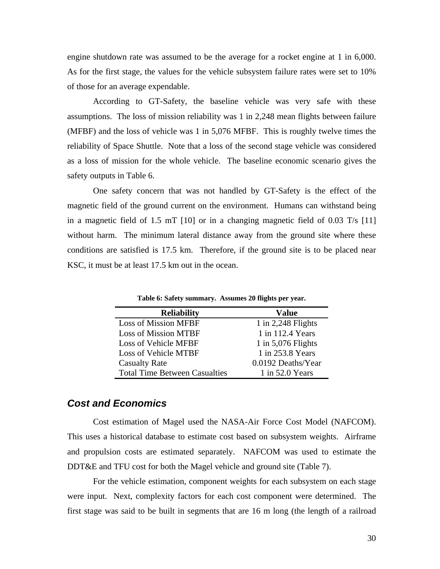<span id="page-35-0"></span>engine shutdown rate was assumed to be the average for a rocket engine at 1 in 6,000. As for the first stage, the values for the vehicle subsystem failure rates were set to 10% of those for an average expendable.

According to GT-Safety, the baseline vehicle was very safe with these assumptions. The loss of mission reliability was 1 in 2,248 mean flights between failure (MFBF) and the loss of vehicle was 1 in 5,076 MFBF. This is roughly twelve times the reliability of Space Shuttle. Note that a loss of the second stage vehicle was considered as a loss of mission for the whole vehicle. The baseline economic scenario gives the safety outputs in [Table 6.](#page-35-1)

One safety concern that was not handled by GT-Safety is the effect of the magnetic field of the ground current on the environment. Humans can withstand being in a magnetic field of 1.5 mT [\[10\]](#page-48-10) or in a changing magnetic field of 0.03 T/s [\[11\]](#page-48-11) without harm. The minimum lateral distance away from the ground site where these conditions are satisfied is 17.5 km. Therefore, if the ground site is to be placed near KSC, it must be at least 17.5 km out in the ocean.

<span id="page-35-1"></span>**Table 6: Safety summary. Assumes 20 flights per year.** 

| <b>Reliability</b>                   | Value                |
|--------------------------------------|----------------------|
| <b>Loss of Mission MFBF</b>          | 1 in $2,248$ Flights |
| <b>Loss of Mission MTBF</b>          | 1 in 112.4 Years     |
| Loss of Vehicle MFBF                 | 1 in $5,076$ Flights |
| Loss of Vehicle MTBF                 | 1 in 253.8 Years     |
| <b>Casualty Rate</b>                 | 0.0192 Deaths/Year   |
| <b>Total Time Between Casualties</b> | $1$ in 52.0 Years    |

#### *Cost and Economics*

Cost estimation of Magel used the NASA-Air Force Cost Model (NAFCOM). This uses a historical database to estimate cost based on subsystem weights. Airframe and propulsion costs are estimated separately. NAFCOM was used to estimate the DDT&E and TFU cost for both the Magel vehicle and ground site ([Table 7\)](#page-36-1).

For the vehicle estimation, component weights for each subsystem on each stage were input. Next, complexity factors for each cost component were determined. The first stage was said to be built in segments that are 16 m long (the length of a railroad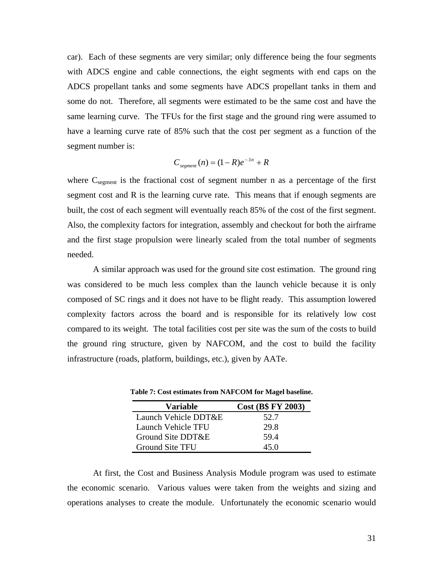<span id="page-36-0"></span>car). Each of these segments are very similar; only difference being the four segments with ADCS engine and cable connections, the eight segments with end caps on the ADCS propellant tanks and some segments have ADCS propellant tanks in them and some do not. Therefore, all segments were estimated to be the same cost and have the same learning curve. The TFUs for the first stage and the ground ring were assumed to have a learning curve rate of 85% such that the cost per segment as a function of the segment number is:

$$
C_{\text{segment}}(n) = (1 - R)e^{-\lambda n} + R
$$

where  $C_{\text{segment}}$  is the fractional cost of segment number n as a percentage of the first segment cost and R is the learning curve rate. This means that if enough segments are built, the cost of each segment will eventually reach 85% of the cost of the first segment. Also, the complexity factors for integration, assembly and checkout for both the airframe and the first stage propulsion were linearly scaled from the total number of segments needed.

A similar approach was used for the ground site cost estimation. The ground ring was considered to be much less complex than the launch vehicle because it is only composed of SC rings and it does not have to be flight ready. This assumption lowered complexity factors across the board and is responsible for its relatively low cost compared to its weight. The total facilities cost per site was the sum of the costs to build the ground ring structure, given by NAFCOM, and the cost to build the facility infrastructure (roads, platform, buildings, etc.), given by AATe.

| <b>Variable</b>        | <b>Cost (B\$ FY 2003)</b> |
|------------------------|---------------------------|
| Launch Vehicle DDT&E   | 52.7                      |
| Launch Vehicle TFU     | 29.8                      |
| Ground Site DDT&E      | 59.4                      |
| <b>Ground Site TFU</b> | 45 O                      |

<span id="page-36-1"></span>**Table 7: Cost estimates from NAFCOM for Magel baseline.** 

At first, the Cost and Business Analysis Module program was used to estimate the economic scenario. Various values were taken from the weights and sizing and operations analyses to create the module. Unfortunately the economic scenario would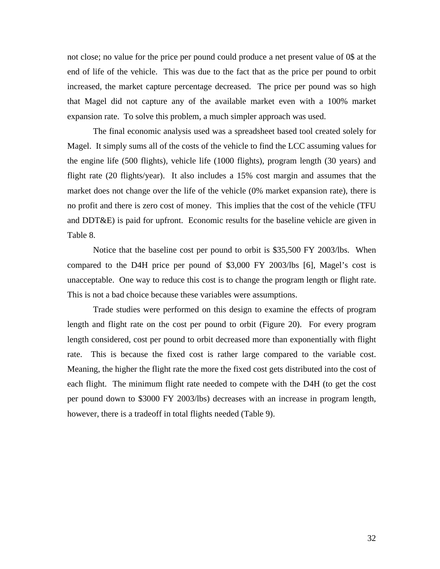not close; no value for the price per pound could produce a net present value of 0\$ at the end of life of the vehicle. This was due to the fact that as the price per pound to orbit increased, the market capture percentage decreased. The price per pound was so high that Magel did not capture any of the available market even with a 100% market expansion rate. To solve this problem, a much simpler approach was used.

The final economic analysis used was a spreadsheet based tool created solely for Magel. It simply sums all of the costs of the vehicle to find the LCC assuming values for the engine life (500 flights), vehicle life (1000 flights), program length (30 years) and flight rate (20 flights/year). It also includes a 15% cost margin and assumes that the market does not change over the life of the vehicle (0% market expansion rate), there is no profit and there is zero cost of money. This implies that the cost of the vehicle (TFU and DDT&E) is paid for upfront. Economic results for the baseline vehicle are given in [Table 8.](#page-38-1)

Notice that the baseline cost per pound to orbit is \$35,500 FY 2003/lbs. When compared to the D4H price per pound of \$3,000 FY 2003/lbs [\[6\]](#page-48-7), Magel's cost is unacceptable. One way to reduce this cost is to change the program length or flight rate. This is not a bad choice because these variables were assumptions.

Trade studies were performed on this design to examine the effects of program length and flight rate on the cost per pound to orbit [\(Figure 20\)](#page-38-2). For every program length considered, cost per pound to orbit decreased more than exponentially with flight rate. This is because the fixed cost is rather large compared to the variable cost. Meaning, the higher the flight rate the more the fixed cost gets distributed into the cost of each flight. The minimum flight rate needed to compete with the D4H (to get the cost per pound down to \$3000 FY 2003/lbs) decreases with an increase in program length, however, there is a tradeoff in total flights needed ([Table 9\)](#page-38-3).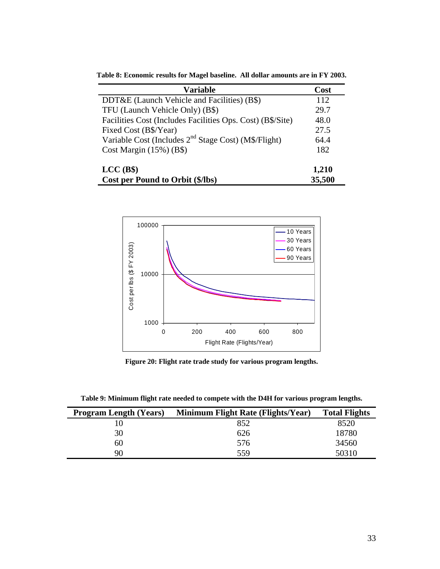| <b>Variable</b>                                                  | Cost   |
|------------------------------------------------------------------|--------|
| DDT&E (Launch Vehicle and Facilities) $(B\$ )                    | 112    |
| TFU (Launch Vehicle Only) (B\$)                                  | 29.7   |
| Facilities Cost (Includes Facilities Ops. Cost) (B\$/Site)       | 48.0   |
| Fixed Cost (B\$/Year)                                            | 27.5   |
| Variable Cost (Includes 2 <sup>nd</sup> Stage Cost) (M\$/Flight) | 64.4   |
| Cost Margin $(15\%)$ (B\$)                                       | 182    |
| $LCC$ (B\$)                                                      | 1,210  |
| Cost per Pound to Orbit (\$/lbs)                                 | 35,500 |

<span id="page-38-1"></span><span id="page-38-0"></span>**Table 8: Economic results for Magel baseline. All dollar amounts are in FY 2003.** 

<span id="page-38-2"></span>

**Figure 20: Flight rate trade study for various program lengths.** 

<span id="page-38-3"></span>**Table 9: Minimum flight rate needed to compete with the D4H for various program lengths.** 

| <b>Program Length (Years)</b> | Minimum Flight Rate (Flights/Year) | <b>Total Flights</b> |
|-------------------------------|------------------------------------|----------------------|
|                               | 852                                | 8520                 |
| 30                            | 626                                | 18780                |
| 60                            | 576                                | 34560                |
| 90                            | 559                                | 50310                |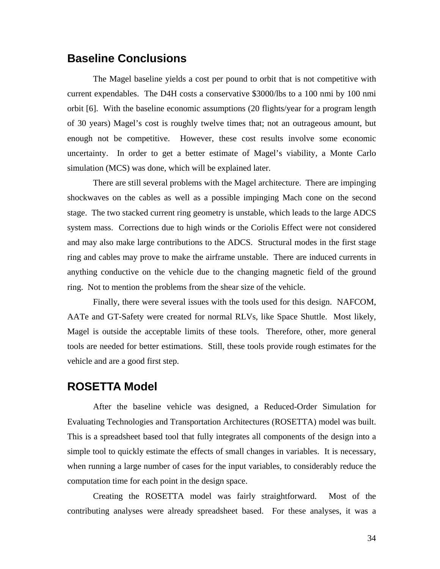## <span id="page-39-0"></span>**Baseline Conclusions**

The Magel baseline yields a cost per pound to orbit that is not competitive with current expendables. The D4H costs a conservative \$3000/lbs to a 100 nmi by 100 nmi orbit [\[6\]](#page-48-7). With the baseline economic assumptions (20 flights/year for a program length of 30 years) Magel's cost is roughly twelve times that; not an outrageous amount, but enough not be competitive. However, these cost results involve some economic uncertainty. In order to get a better estimate of Magel's viability, a Monte Carlo simulation (MCS) was done, which will be explained later.

There are still several problems with the Magel architecture. There are impinging shockwaves on the cables as well as a possible impinging Mach cone on the second stage. The two stacked current ring geometry is unstable, which leads to the large ADCS system mass. Corrections due to high winds or the Coriolis Effect were not considered and may also make large contributions to the ADCS. Structural modes in the first stage ring and cables may prove to make the airframe unstable. There are induced currents in anything conductive on the vehicle due to the changing magnetic field of the ground ring. Not to mention the problems from the shear size of the vehicle.

Finally, there were several issues with the tools used for this design. NAFCOM, AATe and GT-Safety were created for normal RLVs, like Space Shuttle. Most likely, Magel is outside the acceptable limits of these tools. Therefore, other, more general tools are needed for better estimations. Still, these tools provide rough estimates for the vehicle and are a good first step.

### **ROSETTA Model**

After the baseline vehicle was designed, a Reduced-Order Simulation for Evaluating Technologies and Transportation Architectures (ROSETTA) model was built. This is a spreadsheet based tool that fully integrates all components of the design into a simple tool to quickly estimate the effects of small changes in variables. It is necessary, when running a large number of cases for the input variables, to considerably reduce the computation time for each point in the design space.

Creating the ROSETTA model was fairly straightforward. Most of the contributing analyses were already spreadsheet based. For these analyses, it was a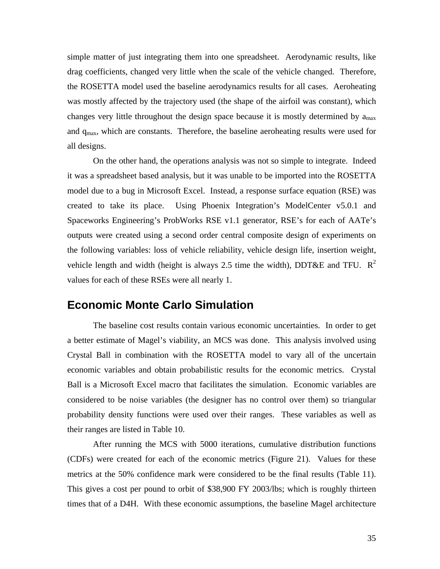<span id="page-40-0"></span>simple matter of just integrating them into one spreadsheet. Aerodynamic results, like drag coefficients, changed very little when the scale of the vehicle changed. Therefore, the ROSETTA model used the baseline aerodynamics results for all cases. Aeroheating was mostly affected by the trajectory used (the shape of the airfoil was constant), which changes very little throughout the design space because it is mostly determined by  $a_{max}$ and  $q_{\text{max}}$ , which are constants. Therefore, the baseline aeroheating results were used for all designs.

On the other hand, the operations analysis was not so simple to integrate. Indeed it was a spreadsheet based analysis, but it was unable to be imported into the ROSETTA model due to a bug in Microsoft Excel. Instead, a response surface equation (RSE) was created to take its place. Using Phoenix Integration's ModelCenter v5.0.1 and Spaceworks Engineering's ProbWorks RSE v1.1 generator, RSE's for each of AATe's outputs were created using a second order central composite design of experiments on the following variables: loss of vehicle reliability, vehicle design life, insertion weight, vehicle length and width (height is always 2.5 time the width), DDT&E and TFU.  $R^2$ values for each of these RSEs were all nearly 1.

### **Economic Monte Carlo Simulation**

The baseline cost results contain various economic uncertainties. In order to get a better estimate of Magel's viability, an MCS was done. This analysis involved using Crystal Ball in combination with the ROSETTA model to vary all of the uncertain economic variables and obtain probabilistic results for the economic metrics. Crystal Ball is a Microsoft Excel macro that facilitates the simulation. Economic variables are considered to be noise variables (the designer has no control over them) so triangular probability density functions were used over their ranges. These variables as well as their ranges are listed in [Table 10.](#page-41-1)

After running the MCS with 5000 iterations, cumulative distribution functions (CDFs) were created for each of the economic metrics [\(Figure 21\)](#page-41-2). Values for these metrics at the 50% confidence mark were considered to be the final results ([Table 11\)](#page-42-1). This gives a cost per pound to orbit of \$38,900 FY 2003/lbs; which is roughly thirteen times that of a D4H. With these economic assumptions, the baseline Magel architecture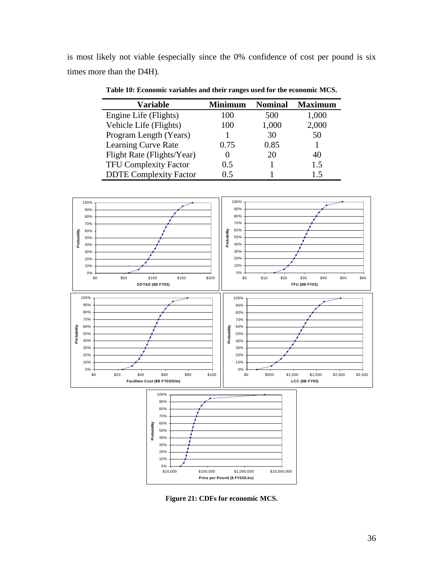<span id="page-41-0"></span>is most likely not viable (especially since the 0% confidence of cost per pound is six times more than the D4H).

<span id="page-41-1"></span>**Table 10: Economic variables and their ranges used for the economic MCS.** 

| <b>Variable</b>               | <b>Minimum</b> | <b>Nominal</b> | <b>Maximum</b> |
|-------------------------------|----------------|----------------|----------------|
| Engine Life (Flights)         | 100            | 500            | 1,000          |
| Vehicle Life (Flights)        | 100            | 1,000          | 2,000          |
| Program Length (Years)        |                | 30             | 50             |
| Learning Curve Rate           | 0.75           | 0.85           |                |
| Flight Rate (Flights/Year)    |                | 20             | 40             |
| <b>TFU Complexity Factor</b>  | 0.5            |                | 1.5            |
| <b>DDTE Complexity Factor</b> | () 5           |                | ר ו            |



<span id="page-41-2"></span>**Figure 21: CDFs for economic MCS.**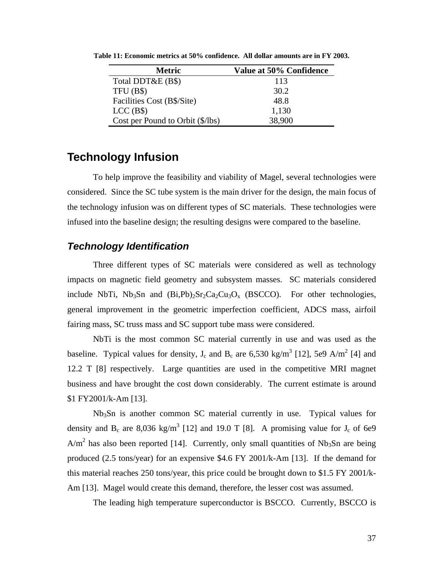| <b>Metric</b>                    | Value at 50% Confidence |
|----------------------------------|-------------------------|
| Total DDT&E (B\$)                | 113                     |
| TFU(B\$)                         | 30.2                    |
| Facilities Cost (B\$/Site)       | 48.8                    |
| $LCC$ (B\$)                      | 1,130                   |
| Cost per Pound to Orbit (\$/lbs) | 38,900                  |

<span id="page-42-1"></span><span id="page-42-0"></span>**Table 11: Economic metrics at 50% confidence. All dollar amounts are in FY 2003.**

## **Technology Infusion**

To help improve the feasibility and viability of Magel, several technologies were considered. Since the SC tube system is the main driver for the design, the main focus of the technology infusion was on different types of SC materials. These technologies were infused into the baseline design; the resulting designs were compared to the baseline.

#### *Technology Identification*

Three different types of SC materials were considered as well as technology impacts on magnetic field geometry and subsystem masses. SC materials considered include NbTi, Nb<sub>3</sub>Sn and  $(Bi,Pb)_{2}Sr_{2}Ca_{2}Cu_{3}O_{x}$  (BSCCO). For other technologies, general improvement in the geometric imperfection coefficient, ADCS mass, airfoil fairing mass, SC truss mass and SC support tube mass were considered.

NbTi is the most common SC material currently in use and was used as the baseline. Typical values for density,  $J_c$  and  $B_c$  are 6,530 kg/m<sup>3</sup> [\[12\]](#page-48-12), 5e9 A/m<sup>2</sup> [\[4\]](#page-48-2) and 12.2 T [\[8\]](#page-48-5) respectively. Large quantities are used in the competitive MRI magnet business and have brought the cost down considerably. The current estimate is around \$1 FY2001/k-Am [\[13\]](#page-48-13).

 Nb3Sn is another common SC material currently in use. Typical values for density and  $B_c$  are 8,036 kg/m<sup>3</sup> [\[12\]](#page-48-12) and 19.0 T [\[8\]](#page-48-5). A promising value for  $J_c$  of 6e9  $A/m<sup>2</sup>$  has also been reported [[14\]](#page-48-14). Currently, only small quantities of Nb<sub>3</sub>Sn are being produced (2.5 tons/year) for an expensive \$4.6 FY 2001/k-Am [\[13\]](#page-48-13). If the demand for this material reaches 250 tons/year, this price could be brought down to \$1.5 FY 2001/k-Am [\[13\]](#page-48-13). Magel would create this demand, therefore, the lesser cost was assumed.

The leading high temperature superconductor is BSCCO. Currently, BSCCO is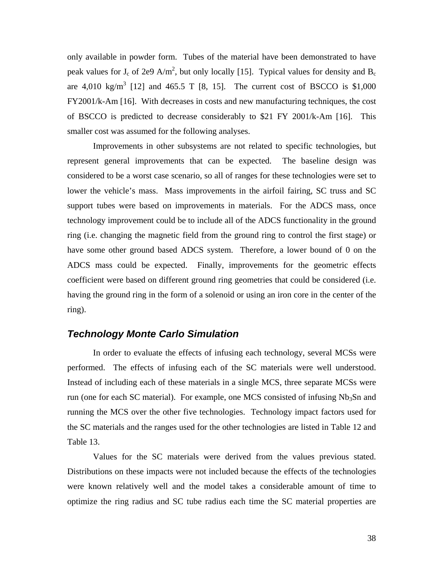<span id="page-43-0"></span>only available in powder form. Tubes of the material have been demonstrated to have peak values for  $J_c$  of 2e9 A/m<sup>2</sup>, but only locally [\[15\]](#page-48-15). Typical values for density and B<sub>c</sub> are  $4,010 \text{ kg/m}^3$  [\[12\]](#page-48-12) and  $465.5 \text{ T}$  [\[8,](#page-48-5) [15\]](#page-48-15). The current cost of BSCCO is \$1,000 FY2001/k-Am [\[16\]](#page-48-16). With decreases in costs and new manufacturing techniques, the cost of BSCCO is predicted to decrease considerably to \$21 FY 2001/k-Am [[16\]](#page-48-16). This smaller cost was assumed for the following analyses.

Improvements in other subsystems are not related to specific technologies, but represent general improvements that can be expected. The baseline design was considered to be a worst case scenario, so all of ranges for these technologies were set to lower the vehicle's mass. Mass improvements in the airfoil fairing, SC truss and SC support tubes were based on improvements in materials. For the ADCS mass, once technology improvement could be to include all of the ADCS functionality in the ground ring (i.e. changing the magnetic field from the ground ring to control the first stage) or have some other ground based ADCS system. Therefore, a lower bound of 0 on the ADCS mass could be expected. Finally, improvements for the geometric effects coefficient were based on different ground ring geometries that could be considered (i.e. having the ground ring in the form of a solenoid or using an iron core in the center of the ring).

#### *Technology Monte Carlo Simulation*

In order to evaluate the effects of infusing each technology, several MCSs were performed. The effects of infusing each of the SC materials were well understood. Instead of including each of these materials in a single MCS, three separate MCSs were run (one for each SC material). For example, one MCS consisted of infusing  $Nb<sub>3</sub>Sn$  and running the MCS over the other five technologies. Technology impact factors used for the SC materials and the ranges used for the other technologies are listed in [Table 12](#page-44-1) and [Table 13.](#page-44-2)

Values for the SC materials were derived from the values previous stated. Distributions on these impacts were not included because the effects of the technologies were known relatively well and the model takes a considerable amount of time to optimize the ring radius and SC tube radius each time the SC material properties are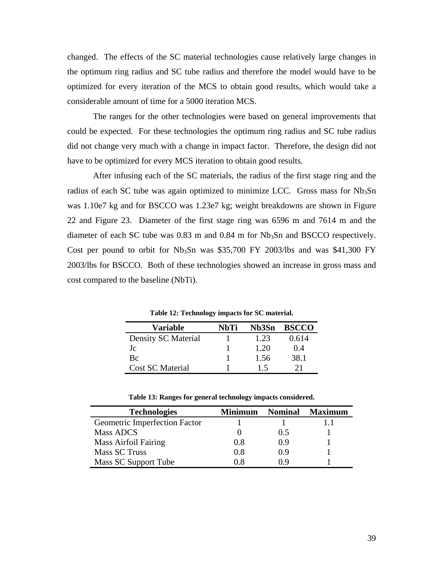<span id="page-44-0"></span>changed. The effects of the SC material technologies cause relatively large changes in the optimum ring radius and SC tube radius and therefore the model would have to be optimized for every iteration of the MCS to obtain good results, which would take a considerable amount of time for a 5000 iteration MCS.

The ranges for the other technologies were based on general improvements that could be expected. For these technologies the optimum ring radius and SC tube radius did not change very much with a change in impact factor. Therefore, the design did not have to be optimized for every MCS iteration to obtain good results.

After infusing each of the SC materials, the radius of the first stage ring and the radius of each SC tube was again optimized to minimize LCC. Gross mass for  $Nb<sub>3</sub>Sn$ was 1.10e7 kg and for BSCCO was 1.23e7 kg; weight breakdowns are shown in [Figure](#page-45-1)  [22](#page-45-1) and [Figure 23.](#page-45-2) Diameter of the first stage ring was 6596 m and 7614 m and the diameter of each SC tube was  $0.83$  m and  $0.84$  m for  $Nb<sub>3</sub>Sn$  and BSCCO respectively. Cost per pound to orbit for  $Nb_3Sn$  was \$35,700 FY 2003/lbs and was \$41,300 FY 2003/lbs for BSCCO. Both of these technologies showed an increase in gross mass and cost compared to the baseline (NbTi).

| Variable            | NbTi | Nb3Sn | <b>BSCCO</b> |
|---------------------|------|-------|--------------|
| Density SC Material |      | 1.23  | 0.614        |
| Jc                  |      | 1.20  | 0.4          |
| <b>B</b> c          |      | 1.56  | 38.1         |
| Cost SC Material    |      | 15    |              |

<span id="page-44-1"></span>**Table 12: Technology impacts for SC material.** 

<span id="page-44-2"></span>

| <b>Technologies</b>           | Minimum | <b>Nominal</b> | <b>Maximum</b> |
|-------------------------------|---------|----------------|----------------|
| Geometric Imperfection Factor |         |                |                |
| Mass ADCS                     |         | 0.5            |                |
| <b>Mass Airfoil Fairing</b>   | 0.8     | 0.9            |                |
| <b>Mass SC Truss</b>          | 0.8     | 0.9            |                |
| Mass SC Support Tube          | 0.8     | () 9           |                |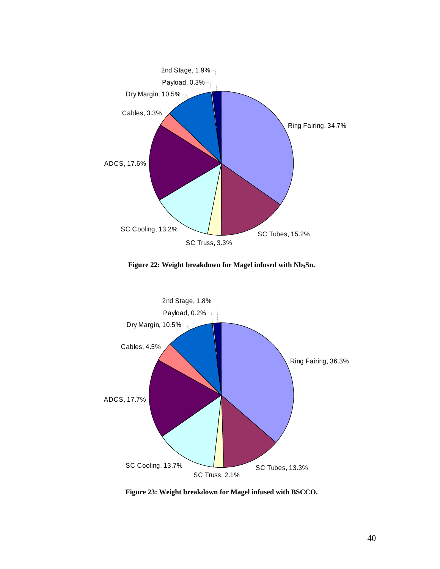<span id="page-45-1"></span><span id="page-45-0"></span>

<span id="page-45-2"></span>Figure 22: Weight breakdown for Magel infused with Nb<sub>3</sub>Sn.



**Figure 23: Weight breakdown for Magel infused with BSCCO.**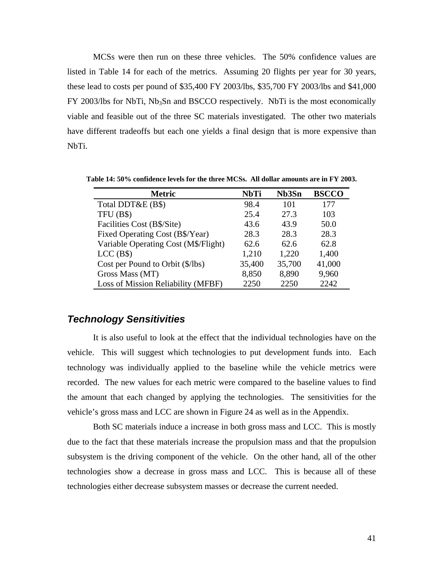<span id="page-46-0"></span>MCSs were then run on these three vehicles. The 50% confidence values are listed in [Table 14](#page-46-1) for each of the metrics. Assuming 20 flights per year for 30 years, these lead to costs per pound of \$35,400 FY 2003/lbs, \$35,700 FY 2003/lbs and \$41,000  $FY$  2003/lbs for NbTi,  $Nb<sub>3</sub>Sn$  and BSCCO respectively. NbTi is the most economically viable and feasible out of the three SC materials investigated. The other two materials have different tradeoffs but each one yields a final design that is more expensive than NbTi.

**Metric NbTi Nb3Sn BSCCO** Total DDT&E (B\$) 98.4 101 177 TFU (B\$) 25.4 27.3 103 Facilities Cost (B\$/Site) 43.6 43.9 50.0 Fixed Operating Cost (B\$/Year) 28.3 28.3 28.3 Variable Operating Cost (M\$/Flight) 62.6 62.6 62.8 LCC (B\$) 1,210 1,220 1,400 Cost per Pound to Orbit (\$/lbs) 35,400 35,700 41,000 Gross Mass (MT) 8,850 8,890 9,960 Loss of Mission Reliability (MFBF) 2250 2250 2242

<span id="page-46-1"></span>**Table 14: 50% confidence levels for the three MCSs. All dollar amounts are in FY 2003.** 

#### *Technology Sensitivities*

It is also useful to look at the effect that the individual technologies have on the vehicle. This will suggest which technologies to put development funds into. Each technology was individually applied to the baseline while the vehicle metrics were recorded. The new values for each metric were compared to the baseline values to find the amount that each changed by applying the technologies. The sensitivities for the vehicle's gross mass and LCC are shown in [Figure 24](#page-47-1) as well as in the Appendix.

Both SC materials induce a increase in both gross mass and LCC. This is mostly due to the fact that these materials increase the propulsion mass and that the propulsion subsystem is the driving component of the vehicle. On the other hand, all of the other technologies show a decrease in gross mass and LCC. This is because all of these technologies either decrease subsystem masses or decrease the current needed.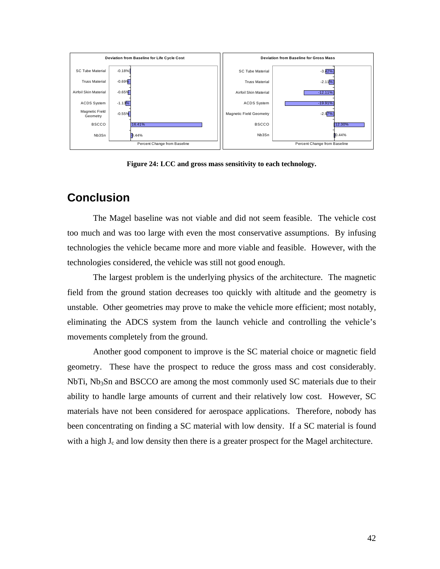<span id="page-47-1"></span><span id="page-47-0"></span>

**Figure 24: LCC and gross mass sensitivity to each technology.** 

## **Conclusion**

The Magel baseline was not viable and did not seem feasible. The vehicle cost too much and was too large with even the most conservative assumptions. By infusing technologies the vehicle became more and more viable and feasible. However, with the technologies considered, the vehicle was still not good enough.

The largest problem is the underlying physics of the architecture. The magnetic field from the ground station decreases too quickly with altitude and the geometry is unstable. Other geometries may prove to make the vehicle more efficient; most notably, eliminating the ADCS system from the launch vehicle and controlling the vehicle's movements completely from the ground.

Another good component to improve is the SC material choice or magnetic field geometry. These have the prospect to reduce the gross mass and cost considerably. NbTi,  $Nb<sub>3</sub>Sn$  and BSCCO are among the most commonly used SC materials due to their ability to handle large amounts of current and their relatively low cost. However, SC materials have not been considered for aerospace applications. Therefore, nobody has been concentrating on finding a SC material with low density. If a SC material is found with a high  $J_c$  and low density then there is a greater prospect for the Magel architecture.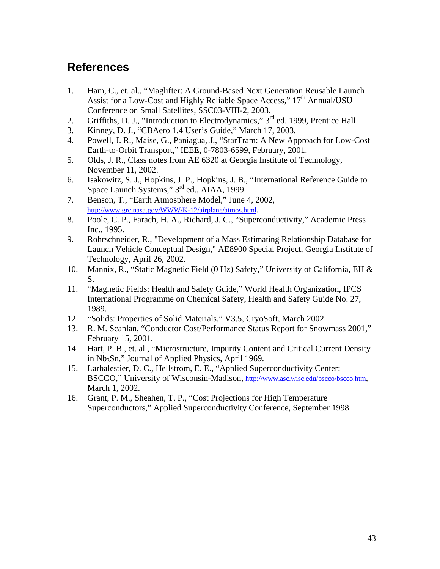## <span id="page-48-15"></span><span id="page-48-14"></span><span id="page-48-13"></span><span id="page-48-12"></span><span id="page-48-11"></span><span id="page-48-10"></span><span id="page-48-9"></span><span id="page-48-8"></span><span id="page-48-7"></span><span id="page-48-6"></span><span id="page-48-5"></span><span id="page-48-4"></span><span id="page-48-3"></span><span id="page-48-2"></span><span id="page-48-1"></span><span id="page-48-0"></span>**References [1](#page-48-17)**

<span id="page-48-16"></span>1

- <span id="page-48-17"></span>1. Ham, C., et. al., "Maglifter: A Ground-Based Next Generation Reusable Launch Assist for a Low-Cost and Highly Reliable Space Access," 17<sup>th</sup> Annual/USU Conference on Small Satellites, SSC03-VIII-2, 2003.
- <span id="page-48-18"></span>2. Griffiths, D. J., "Introduction to Electrodynamics," 3<sup>rd</sup> ed. 1999, Prentice Hall.
- <span id="page-48-19"></span>3. Kinney, D. J., "CBAero 1.4 User's Guide," March 17, 2003.
- <span id="page-48-20"></span>4. Powell, J. R., Maise, G., Paniagua, J., "StarTram: A New Approach for Low-Cost Earth-to-Orbit Transport," IEEE, 0-7803-6599, February, 2001.
- <span id="page-48-21"></span>5. Olds, J. R., Class notes from AE 6320 at Georgia Institute of Technology, November 11, 2002.
- <span id="page-48-22"></span>6. Isakowitz, S. J., Hopkins, J. P., Hopkins, J. B., "International Reference Guide to Space Launch Systems," 3<sup>rd</sup> ed., AIAA, 1999.
- <span id="page-48-23"></span>7. Benson, T., "Earth Atmosphere Model," June 4, 2002, <http://www.grc.nasa.gov/WWW/K-12/airplane/atmos.html>.
- <span id="page-48-24"></span>8. Poole, C. P., Farach, H. A., Richard, J. C., "Superconductivity," Academic Press Inc., 1995.
- <span id="page-48-25"></span>9. Rohrschneider, R., "Development of a Mass Estimating Relationship Database for Launch Vehicle Conceptual Design," AE8900 Special Project, Georgia Institute of Technology, April 26, 2002.
- <span id="page-48-26"></span>10. Mannix, R., "Static Magnetic Field (0 Hz) Safety," University of California, EH & S.
- <span id="page-48-27"></span>11. "Magnetic Fields: Health and Safety Guide," World Health Organization, IPCS International Programme on Chemical Safety, Health and Safety Guide No. 27, 1989.
- <span id="page-48-28"></span>12. "Solids: Properties of Solid Materials," V3.5, CryoSoft, March 2002.
- <span id="page-48-29"></span>13. R. M. Scanlan, "Conductor Cost/Performance Status Report for Snowmass 2001," February 15, 2001.
- <span id="page-48-30"></span>14. Hart, P. B., et. al., "Microstructure, Impurity Content and Critical Current Density in Nb3Sn," Journal of Applied Physics, April 1969.
- <span id="page-48-31"></span>15. Larbalestier, D. C., Hellstrom, E. E., "Applied Superconductivity Center: BSCCO," University of Wisconsin-Madison, <http://www.asc.wisc.edu/bscco/bscco.htm>, March 1, 2002.
- <span id="page-48-32"></span>16. Grant, P. M., Sheahen, T. P., "Cost Projections for High Temperature Superconductors," Applied Superconductivity Conference, September 1998.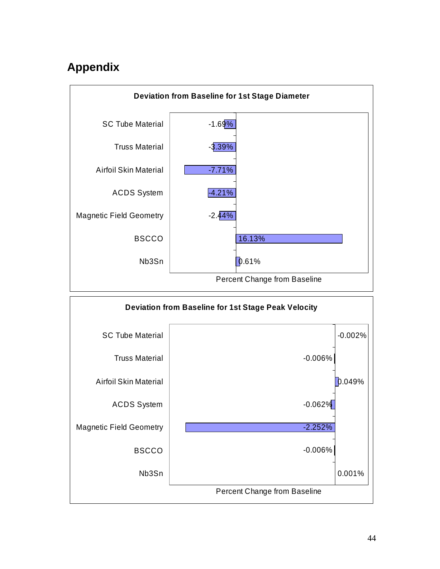## <span id="page-49-0"></span>**Appendix**



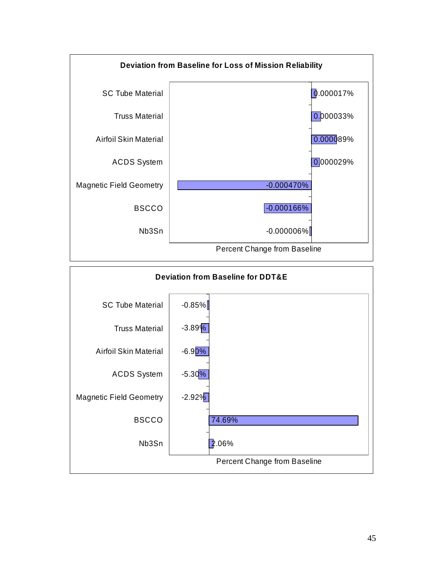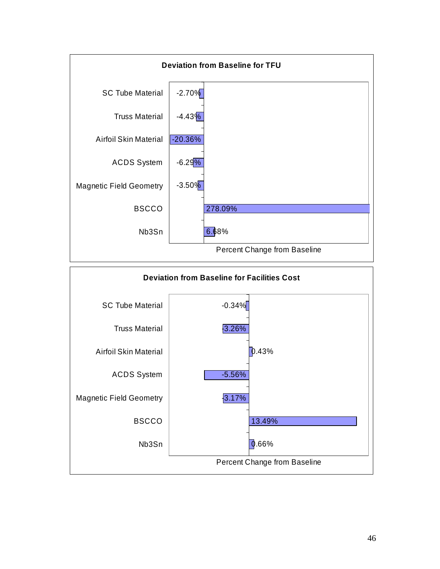